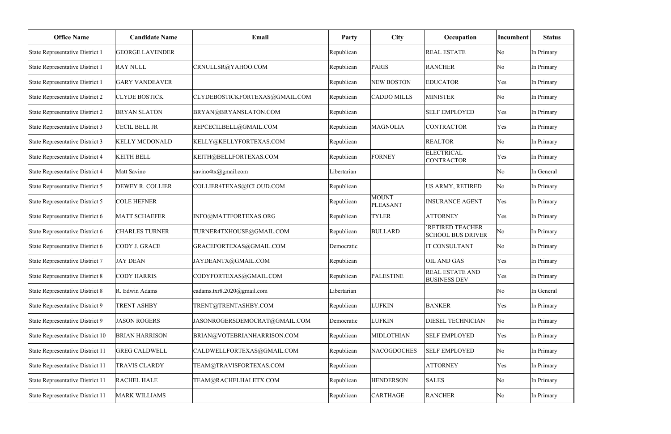| <b>Office Name</b>                     | <b>Candidate Name</b>  | Email                          | <b>Party</b> | <b>City</b>              | Occupation                                         | Incumbent           | <b>Status</b> |
|----------------------------------------|------------------------|--------------------------------|--------------|--------------------------|----------------------------------------------------|---------------------|---------------|
| State Representative District 1        | <b>GEORGE LAVENDER</b> |                                | Republican   |                          | <b>REAL ESTATE</b>                                 | No                  | In Primary    |
| State Representative District 1        | <b>RAY NULL</b>        | CRNULLSR@YAHOO.COM             | Republican   | <b>PARIS</b>             | <b>RANCHER</b>                                     | No                  | In Primary    |
| State Representative District 1        | <b>GARY VANDEAVER</b>  |                                | Republican   | <b>NEW BOSTON</b>        | <b>EDUCATOR</b>                                    | Yes                 | In Primary    |
| <b>State Representative District 2</b> | <b>CLYDE BOSTICK</b>   | CLYDEBOSTICKFORTEXAS@GMAIL.COM | Republican   | <b>CADDO MILLS</b>       | <b>MINISTER</b>                                    | No                  | In Primary    |
| State Representative District 2        | <b>BRYAN SLATON</b>    | BRYAN@BRYANSLATON.COM          | Republican   |                          | <b>SELF EMPLOYED</b>                               | Yes                 | In Primary    |
| State Representative District 3        | <b>CECIL BELL JR</b>   | REPCECILBELL@GMAIL.COM         | Republican   | <b>MAGNOLIA</b>          | <b>CONTRACTOR</b>                                  | Yes                 | In Primary    |
| State Representative District 3        | <b>KELLY MCDONALD</b>  | KELLY@KELLYFORTEXAS.COM        | Republican   |                          | <b>REALTOR</b>                                     | $\overline{\rm No}$ | In Primary    |
| State Representative District 4        | <b>KEITH BELL</b>      | KEITH@BELLFORTEXAS.COM         | Republican   | <b>FORNEY</b>            | <b>ELECTRICAL</b><br><b>CONTRACTOR</b>             | Yes                 | In Primary    |
| State Representative District 4        | Matt Savino            | savino4tx@gmail.com            | Libertarian  |                          |                                                    | No                  | In General    |
| State Representative District 5        | DEWEY R. COLLIER       | COLLIER4TEXAS@ICLOUD.COM       | Republican   |                          | US ARMY, RETIRED                                   | $\overline{\rm No}$ | In Primary    |
| State Representative District 5        | <b>COLE HEFNER</b>     |                                | Republican   | <b>MOUNT</b><br>PLEASANT | <b>INSURANCE AGENT</b>                             | Yes                 | In Primary    |
| State Representative District 6        | <b>MATT SCHAEFER</b>   | INFO@MATTFORTEXAS.ORG          | Republican   | <b>TYLER</b>             | <b>ATTORNEY</b>                                    | Yes                 | In Primary    |
| State Representative District 6        | <b>CHARLES TURNER</b>  | TURNER4TXHOUSE@GMAIL.COM       | Republican   | <b>BULLARD</b>           | <b>RETIRED TEACHER</b><br><b>SCHOOL BUS DRIVER</b> | No                  | In Primary    |
| State Representative District 6        | CODY J. GRACE          | GRACEFORTEXAS@GMAIL.COM        | Democratic   |                          | IT CONSULTANT                                      | $\overline{\rm No}$ | In Primary    |
| State Representative District 7        | <b>JAY DEAN</b>        | JAYDEANTX@GMAIL.COM            | Republican   |                          | <b>OIL AND GAS</b>                                 | Yes                 | In Primary    |
| State Representative District 8        | <b>CODY HARRIS</b>     | CODYFORTEXAS@GMAIL.COM         | Republican   | <b>PALESTINE</b>         | <b>REAL ESTATE AND</b><br><b>BUSINESS DEV</b>      | Yes                 | In Primary    |
| State Representative District 8        | R. Edwin Adams         | eadams.txr8.2020@gmail.com     | Libertarian  |                          |                                                    | $\overline{\rm No}$ | In General    |
| State Representative District 9        | <b>TRENT ASHBY</b>     | TRENT@TRENTASHBY.COM           | Republican   | <b>LUFKIN</b>            | <b>BANKER</b>                                      | Yes                 | In Primary    |
| <b>State Representative District 9</b> | <b>JASON ROGERS</b>    | JASONROGERSDEMOCRAT@GMAIL.COM  | Democratic   | <b>LUFKIN</b>            | DIESEL TECHNICIAN                                  | No                  | In Primary    |
| State Representative District 10       | <b>BRIAN HARRISON</b>  | BRIAN@VOTEBRIANHARRISON.COM    | Republican   | <b>MIDLOTHIAN</b>        | <b>SELF EMPLOYED</b>                               | Yes                 | In Primary    |
| State Representative District 11       | <b>GREG CALDWELL</b>   | CALDWELLFORTEXAS@GMAIL.COM     | Republican   | NACOGDOCHES              | <b>SELF EMPLOYED</b>                               | $\overline{\rm No}$ | In Primary    |
| State Representative District 11       | TRAVIS CLARDY          | TEAM@TRAVISFORTEXAS.COM        | Republican   |                          | <b>ATTORNEY</b>                                    | Yes                 | In Primary    |
| State Representative District 11       | <b>RACHEL HALE</b>     | TEAM@RACHELHALETX.COM          | Republican   | <b>HENDERSON</b>         | <b>SALES</b>                                       | $\overline{\rm No}$ | In Primary    |
| State Representative District 11       | <b>MARK WILLIAMS</b>   |                                | Republican   | <b>CARTHAGE</b>          | <b>RANCHER</b>                                     | No                  | In Primary    |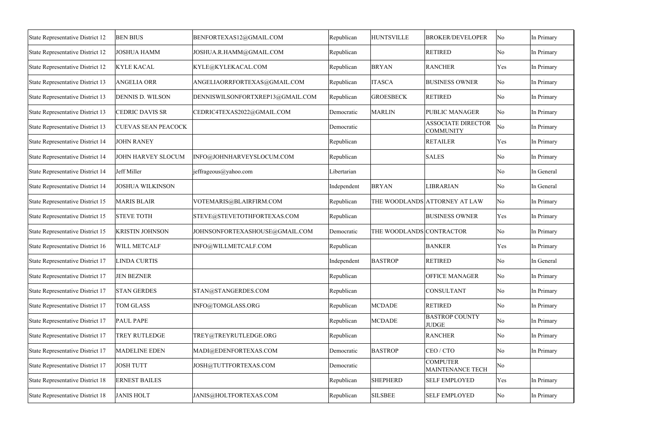| State Representative District 12        | <b>BEN BIUS</b>            | BENFORTEXAS12@GMAIL.COM          | Republican  | <b>HUNTSVILLE</b>        | <b>BROKER/DEVELOPER</b>                       | No                  | In Primary |
|-----------------------------------------|----------------------------|----------------------------------|-------------|--------------------------|-----------------------------------------------|---------------------|------------|
| State Representative District 12        | <b>JOSHUA HAMM</b>         | JOSHUA.R.HAMM@GMAIL.COM          | Republican  |                          | <b>RETIRED</b>                                | $\overline{\rm No}$ | In Primary |
| State Representative District 12        | <b>KYLE KACAL</b>          | KYLE@KYLEKACAL.COM               | Republican  | <b>BRYAN</b>             | <b>RANCHER</b>                                | Yes                 | In Primary |
| State Representative District 13        | <b>ANGELIA ORR</b>         | ANGELIAORRFORTEXAS@GMAIL.COM     | Republican  | <b>ITASCA</b>            | <b>BUSINESS OWNER</b>                         | $\overline{\rm No}$ | In Primary |
| State Representative District 13        | <b>DENNIS D. WILSON</b>    | DENNISWILSONFORTXREP13@GMAIL.COM | Republican  | <b>GROESBECK</b>         | <b>RETIRED</b>                                | No                  | In Primary |
| State Representative District 13        | <b>CEDRIC DAVIS SR</b>     | CEDRIC4TEXAS2022@GMAIL.COM       | Democratic  | <b>MARLIN</b>            | <b>PUBLIC MANAGER</b>                         | No                  | In Primary |
| State Representative District 13        | <b>CUEVAS SEAN PEACOCK</b> |                                  | Democratic  |                          | <b>ASSOCIATE DIRECTOR</b><br><b>COMMUNITY</b> | No                  | In Primary |
| <b>State Representative District 14</b> | <b>JOHN RANEY</b>          |                                  | Republican  |                          | <b>RETAILER</b>                               | Yes                 | In Primary |
| <b>State Representative District 14</b> | JOHN HARVEY SLOCUM         | INFO@JOHNHARVEYSLOCUM.COM        | Republican  |                          | <b>SALES</b>                                  | $\overline{\rm No}$ | In Primary |
| State Representative District 14        | Jeff Miller                | jeffrageous@yahoo.com            | Libertarian |                          |                                               | No                  | In General |
| <b>State Representative District 14</b> | <b>JOSHUA WILKINSON</b>    |                                  | Independent | <b>BRYAN</b>             | LIBRARIAN                                     | $\overline{\rm No}$ | In General |
| State Representative District 15        | <b>MARIS BLAIR</b>         | VOTEMARIS@BLAIRFIRM.COM          | Republican  |                          | THE WOODLANDS ATTORNEY AT LAW                 | No                  | In Primary |
| State Representative District 15        | <b>STEVE TOTH</b>          | STEVE@STEVETOTHFORTEXAS.COM      | Republican  |                          | <b>BUSINESS OWNER</b>                         | Yes                 | In Primary |
| State Representative District 15        | <b>KRISTIN JOHNSON</b>     | JOHNSONFORTEXASHOUSE@GMAIL.COM   | Democratic  | THE WOODLANDS CONTRACTOR |                                               | $\overline{\rm No}$ | In Primary |
| State Representative District 16        | WILL METCALF               | INFO@WILLMETCALF.COM             | Republican  |                          | <b>BANKER</b>                                 | Yes                 | In Primary |
| State Representative District 17        | <b>LINDA CURTIS</b>        |                                  | Independent | <b>BASTROP</b>           | <b>RETIRED</b>                                | No                  | In General |
| State Representative District 17        | <b>JEN BEZNER</b>          |                                  | Republican  |                          | <b>OFFICE MANAGER</b>                         | $\overline{\rm No}$ | In Primary |
| State Representative District 17        | <b>STAN GERDES</b>         | STAN@STANGERDES.COM              | Republican  |                          | <b>CONSULTANT</b>                             | No                  | In Primary |
| State Representative District 17        | <b>TOM GLASS</b>           | INFO@TOMGLASS.ORG                | Republican  | <b>MCDADE</b>            | <b>RETIRED</b>                                | $\overline{\rm No}$ | In Primary |
| State Representative District 17        | <b>PAUL PAPE</b>           |                                  | Republican  | <b>MCDADE</b>            | <b>BASTROP COUNTY</b><br><b>JUDGE</b>         | No                  | In Primary |
| State Representative District 17        | TREY RUTLEDGE              | TREY@TREYRUTLEDGE.ORG            | Republican  |                          | <b>RANCHER</b>                                | $\overline{\rm No}$ | In Primary |
| State Representative District 17        | <b>MADELINE EDEN</b>       | MADI@EDENFORTEXAS.COM            | Democratic  | <b>BASTROP</b>           | CEO/CTO                                       | $\overline{\rm No}$ | In Primary |
| State Representative District 17        | <b>JOSH TUTT</b>           | JOSH@TUTTFORTEXAS.COM            | Democratic  |                          | <b>COMPUTER</b><br>MAINTENANCE TECH           | No                  |            |
| <b>State Representative District 18</b> | <b>ERNEST BAILES</b>       |                                  | Republican  | <b>SHEPHERD</b>          | <b>SELF EMPLOYED</b>                          | Yes                 | In Primary |
| <b>State Representative District 18</b> | <b>JANIS HOLT</b>          | JANIS@HOLTFORTEXAS.COM           | Republican  | <b>SILSBEE</b>           | <b>SELF EMPLOYED</b>                          | No                  | In Primary |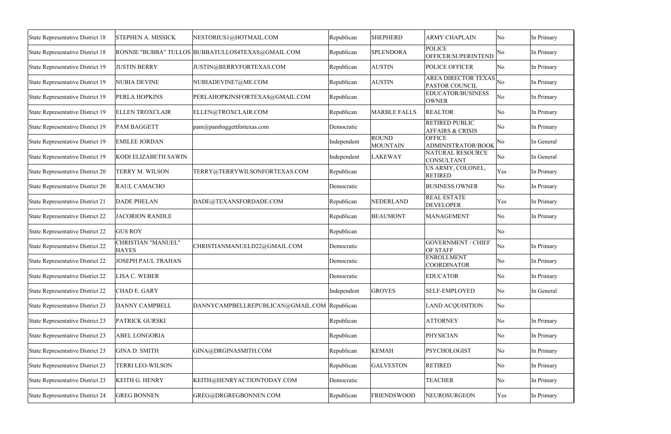| <b>STEPHEN A. MISSICK</b>                 | NESTORIUS1@HOTMAIL.COM         | Republican                                        | <b>SHEPHERD</b>                              | <b>ARMY CHAPLAIN</b>                                 |                                                        | In Primary                                                                                                                                                                                                                                                                                                                                                                                               |
|-------------------------------------------|--------------------------------|---------------------------------------------------|----------------------------------------------|------------------------------------------------------|--------------------------------------------------------|----------------------------------------------------------------------------------------------------------------------------------------------------------------------------------------------------------------------------------------------------------------------------------------------------------------------------------------------------------------------------------------------------------|
|                                           |                                | Republican                                        | <b>SPLENDORA</b>                             | <b>POLICE</b><br>OFFICER/SUPERINTEND                 |                                                        | In Primary                                                                                                                                                                                                                                                                                                                                                                                               |
| <b>JUSTIN BERRY</b>                       | JUSTIN@BERRYFORTEXAS.COM       | Republican                                        | <b>AUSTIN</b>                                | POLICE OFFICER                                       |                                                        | In Primary                                                                                                                                                                                                                                                                                                                                                                                               |
| <b>NUBIA DEVINE</b>                       | NUBIADEVINE7@ME.COM            | Republican                                        | <b>AUSTIN</b>                                | <b>PASTOR COUNCIL</b>                                |                                                        | In Primary                                                                                                                                                                                                                                                                                                                                                                                               |
| <b>PERLA HOPKINS</b>                      | PERLAHOPKINSFORTEXAS@GMAIL.COM | Republican                                        |                                              | EDUCATOR/BUSINESS<br><b>OWNER</b>                    |                                                        | In Primary                                                                                                                                                                                                                                                                                                                                                                                               |
| <b>ELLEN TROXCLAIR</b>                    | ELLEN@TROXCLAIR.COM            | Republican                                        | <b>MARBLE FALLS</b>                          | <b>REALTOR</b>                                       |                                                        | In Primary                                                                                                                                                                                                                                                                                                                                                                                               |
| <b>PAM BAGGETT</b>                        | pam@pambaggettfortexas.com     | Democratic                                        |                                              | <b>RETIRED PUBLIC</b><br><b>AFFAIRS &amp; CRISIS</b> |                                                        | In Primary                                                                                                                                                                                                                                                                                                                                                                                               |
| <b>EMILEE JORDAN</b>                      |                                | Independent                                       | <b>MOUNTAIN</b>                              | ADMINISTRATOR/BOOK                                   |                                                        | In General                                                                                                                                                                                                                                                                                                                                                                                               |
| KODI ELIZABETH SAWIN                      |                                | Independent                                       | <b>LAKEWAY</b>                               | CONSULTANT                                           |                                                        | In General                                                                                                                                                                                                                                                                                                                                                                                               |
| TERRY M. WILSON                           | TERRY@TERRYWILSONFORTEXAS.COM  | Republican                                        |                                              | US ARMY, COLONEL,<br><b>RETIRED</b>                  | Yes                                                    | In Primary                                                                                                                                                                                                                                                                                                                                                                                               |
| <b>RAUL CAMACHO</b>                       |                                | Democratic                                        |                                              | <b>BUSINESS OWNER</b>                                |                                                        | In Primary                                                                                                                                                                                                                                                                                                                                                                                               |
| <b>DADE PHELAN</b>                        | DADE@TEXANSFORDADE.COM         | Republican                                        | NEDERLAND                                    | <b>REAL ESTATE</b><br><b>DEVELOPER</b>               | Yes                                                    | In Primary                                                                                                                                                                                                                                                                                                                                                                                               |
| <b>JACORION RANDLE</b>                    |                                | Republican                                        | <b>BEAUMONT</b>                              | <b>MANAGEMENT</b>                                    |                                                        | In Primary                                                                                                                                                                                                                                                                                                                                                                                               |
| <b>GUS ROY</b>                            |                                | Republican                                        |                                              |                                                      |                                                        |                                                                                                                                                                                                                                                                                                                                                                                                          |
| <b>CHRISTIAN "MANUEL"</b><br><b>HAYES</b> | CHRISTIANMANUELD22@GMAIL.COM   | Democratic                                        |                                              | <b>GOVERNMENT / CHIEF</b><br>OF STAFF                |                                                        | In Primary                                                                                                                                                                                                                                                                                                                                                                                               |
| <b>JOSEPH PAUL TRAHAN</b>                 |                                | Democratic                                        |                                              | <b>COORDINATOR</b>                                   |                                                        | In Primary                                                                                                                                                                                                                                                                                                                                                                                               |
| LISA C. WEBER                             |                                | Democratic                                        |                                              | <b>EDUCATOR</b>                                      |                                                        | In Primary                                                                                                                                                                                                                                                                                                                                                                                               |
| <b>CHAD E. GARY</b>                       |                                | Independent                                       | <b>GROVES</b>                                | <b>SELF-EMPLOYED</b>                                 |                                                        | In General                                                                                                                                                                                                                                                                                                                                                                                               |
| <b>DANNY CAMPBELL</b>                     |                                |                                                   |                                              | <b>LAND ACQUISITION</b>                              |                                                        |                                                                                                                                                                                                                                                                                                                                                                                                          |
| <b>PATRICK GURSKI</b>                     |                                | Republican                                        |                                              | <b>ATTORNEY</b>                                      |                                                        | In Primary                                                                                                                                                                                                                                                                                                                                                                                               |
| <b>ABEL LONGORIA</b>                      |                                | Republican                                        |                                              | <b>PHYSICIAN</b>                                     |                                                        | In Primary                                                                                                                                                                                                                                                                                                                                                                                               |
| <b>GINA D. SMITH</b>                      | GINA@DRGINASMITH.COM           | Republican                                        | <b>KEMAH</b>                                 | <b>PSYCHOLOGIST</b>                                  |                                                        | In Primary                                                                                                                                                                                                                                                                                                                                                                                               |
| <b>TERRI LEO-WILSON</b>                   |                                | Republican                                        | <b>GALVESTON</b>                             | <b>RETIRED</b>                                       |                                                        | In Primary                                                                                                                                                                                                                                                                                                                                                                                               |
| <b>KEITH G. HENRY</b>                     | KEITH@HENRYACTIONTODAY.COM     | Democratic                                        |                                              | <b>TEACHER</b>                                       |                                                        | In Primary                                                                                                                                                                                                                                                                                                                                                                                               |
| <b>GREG BONNEN</b>                        | GREG@DRGREGBONNEN.COM          | Republican                                        | <b>FRIENDSWOOD</b>                           | NEUROSURGEON                                         | Yes                                                    | In Primary                                                                                                                                                                                                                                                                                                                                                                                               |
|                                           |                                | RONNIE "BUBBA" TULLOS BUBBATULLOS4TEXAS@GMAIL.COM | DANNYCAMPBELLREPUBLICAN@GMAIL.COM Republican | <b>ROUND</b>                                         | <b>OFFICE</b><br>NATURAL RESOURCE<br><b>ENROLLMENT</b> | No<br>$\overline{\rm No}$<br>$\overline{\rm No}$<br><b>AREA DIRECTOR TEXAS</b><br><sup>'</sup> No<br>$\overline{\rm No}$<br>$\overline{\rm No}$<br>$\overline{\rm No}$<br>$\overline{\rm No}$<br>No<br>$\overline{\rm No}$<br>$\overline{\rm No}$<br>$\overline{\rm No}$<br>No<br>$\overline{\rm No}$<br>No<br>No<br>No<br>$\overline{\rm No}$<br>$\overline{\rm No}$<br>No<br>No<br>$\overline{\rm No}$ |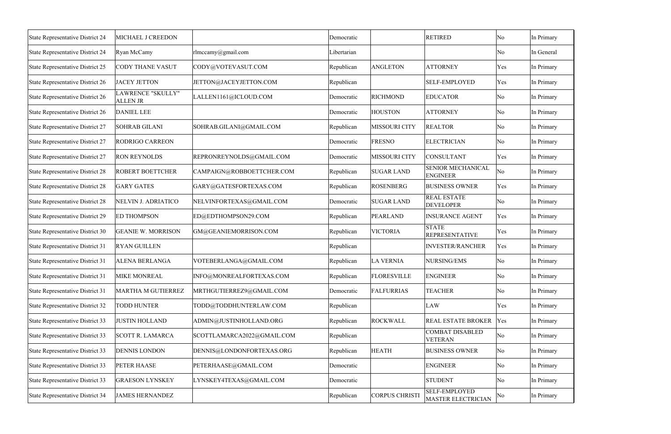| <b>State Representative District 24</b> | MICHAEL J CREEDON                    |                            | Democratic  |                    | <b>RETIRED</b>                              | No  | In Primary |
|-----------------------------------------|--------------------------------------|----------------------------|-------------|--------------------|---------------------------------------------|-----|------------|
| State Representative District 24        | Ryan McCamy                          | rlmccamy@gmail.com         | Libertarian |                    |                                             | No  | In General |
| State Representative District 25        | <b>CODY THANE VASUT</b>              | CODY@VOTEVASUT.COM         | Republican  | <b>ANGLETON</b>    | <b>ATTORNEY</b>                             | Yes | In Primary |
| State Representative District 26        | <b>JACEY JETTON</b>                  | JETTON@JACEYJETTON.COM     | Republican  |                    | <b>SELF-EMPLOYED</b>                        | Yes | In Primary |
| State Representative District 26        | LAWRENCE "SKULLY"<br><b>ALLEN JR</b> | LALLEN1161@ICLOUD.COM      | Democratic  | <b>RICHMOND</b>    | <b>EDUCATOR</b>                             | No  | In Primary |
| State Representative District 26        | <b>DANIEL LEE</b>                    |                            | Democratic  | <b>HOUSTON</b>     | <b>ATTORNEY</b>                             | No  | In Primary |
| State Representative District 27        | <b>SOHRAB GILANI</b>                 | SOHRAB.GILANI@GMAIL.COM    | Republican  | MISSOURI CITY      | <b>REALTOR</b>                              | No  | In Primary |
| State Representative District 27        | RODRIGO CARREON                      |                            | Democratic  | <b>FRESNO</b>      | <b>ELECTRICIAN</b>                          | No  | In Primary |
| <b>State Representative District 27</b> | <b>RON REYNOLDS</b>                  | REPRONREYNOLDS@GMAIL.COM   | Democratic  | MISSOURI CITY      | <b>CONSULTANT</b>                           | Yes | In Primary |
| <b>State Representative District 28</b> | <b>ROBERT BOETTCHER</b>              | CAMPAIGN@ROBBOETTCHER.COM  | Republican  | <b>SUGAR LAND</b>  | <b>SENIOR MECHANICAL</b><br><b>ENGINEER</b> | No  | In Primary |
| <b>State Representative District 28</b> | <b>GARY GATES</b>                    | GARY@GATESFORTEXAS.COM     | Republican  | <b>ROSENBERG</b>   | <b>BUSINESS OWNER</b>                       | Yes | In Primary |
| <b>State Representative District 28</b> | <b>NELVIN J. ADRIATICO</b>           | NELVINFORTEXAS@GMAIL.COM   | Democratic  | <b>SUGAR LAND</b>  | <b>REAL ESTATE</b><br><b>DEVELOPER</b>      | No  | In Primary |
| State Representative District 29        | <b>ED THOMPSON</b>                   | ED@EDTHOMPSON29.COM        | Republican  | PEARLAND           | <b>INSURANCE AGENT</b>                      | Yes | In Primary |
| State Representative District 30        | <b>GEANIE W. MORRISON</b>            | GM@GEANIEMORRISON.COM      | Republican  | <b>VICTORIA</b>    | <b>STATE</b><br><b>REPRESENTATIVE</b>       | Yes | In Primary |
| <b>State Representative District 31</b> | <b>RYAN GUILLEN</b>                  |                            | Republican  |                    | <b>INVESTER/RANCHER</b>                     | Yes | In Primary |
| State Representative District 31        | ALENA BERLANGA                       | VOTEBERLANGA@GMAIL.COM     | Republican  | <b>LA VERNIA</b>   | NURSING/EMS                                 | No  | In Primary |
| State Representative District 31        | <b>MIKE MONREAL</b>                  | INFO@MONREALFORTEXAS.COM   | Republican  | <b>FLORESVILLE</b> | <b>ENGINEER</b>                             | No  | In Primary |
| State Representative District 31        | <b>MARTHA M GUTIERREZ</b>            | MRTHGUTIERREZ9@GMAIL.COM   | Democratic  | FALFURRIAS         | <b>TEACHER</b>                              | No  | In Primary |
| <b>State Representative District 32</b> | <b>TODD HUNTER</b>                   | TODD@TODDHUNTERLAW.COM     | Republican  |                    | LAW                                         | Yes | In Primary |
| <b>State Representative District 33</b> | <b>JUSTIN HOLLAND</b>                | ADMIN@JUSTINHOLLAND.ORG    | Republican  | <b>ROCKWALL</b>    | <b>REAL ESTATE BROKER</b>                   | Yes | In Primary |
| <b>State Representative District 33</b> | <b>SCOTT R. LAMARCA</b>              | SCOTTLAMARCA2022@GMAIL.COM | Republican  |                    | <b>COMBAT DISABLED</b><br>VETERAN           | No  | In Primary |
| <b>State Representative District 33</b> | <b>DENNIS LONDON</b>                 | DENNIS@LONDONFORTEXAS.ORG  | Republican  | <b>HEATH</b>       | <b>BUSINESS OWNER</b>                       | No  | In Primary |
| State Representative District 33        | <b>PETER HAASE</b>                   | PETERHAASE@GMAIL.COM       | Democratic  |                    | <b>ENGINEER</b>                             | No  | In Primary |
| <b>State Representative District 33</b> | <b>GRAESON LYNSKEY</b>               | LYNSKEY4TEXAS@GMAIL.COM    | Democratic  |                    | <b>STUDENT</b>                              | No  | In Primary |
| State Representative District 34        | <b>JAMES HERNANDEZ</b>               |                            | Republican  | CORPUS CHRISTI     | <b>SELF-EMPLOYED</b><br>MASTER ELECTRICIAN  | No  | In Primary |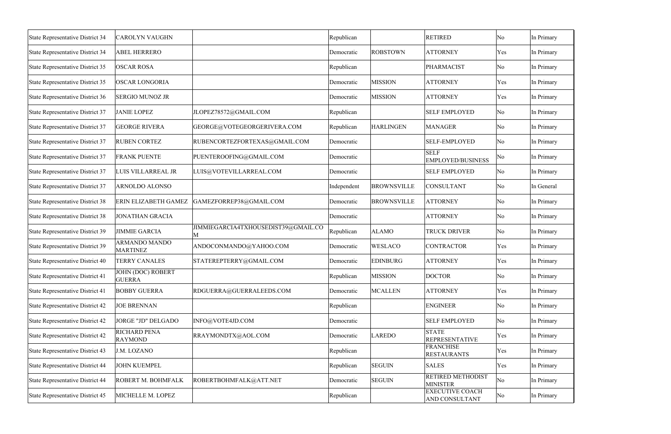| <b>State Representative District 34</b> | <b>CAROLYN VAUGHN</b>                     |                                          | Republican  |                    | <b>RETIRED</b>                                  | No  | In Primary |
|-----------------------------------------|-------------------------------------------|------------------------------------------|-------------|--------------------|-------------------------------------------------|-----|------------|
| <b>State Representative District 34</b> | <b>ABEL HERRERO</b>                       |                                          | Democratic  | <b>ROBSTOWN</b>    | <b>ATTORNEY</b>                                 | Yes | In Primary |
| State Representative District 35        | <b>OSCAR ROSA</b>                         |                                          | Republican  |                    | PHARMACIST                                      | No  | In Primary |
| State Representative District 35        | <b>OSCAR LONGORIA</b>                     |                                          | Democratic  | <b>MISSION</b>     | <b>ATTORNEY</b>                                 | Yes | In Primary |
| State Representative District 36        | <b>SERGIO MUNOZ JR</b>                    |                                          | Democratic  | <b>MISSION</b>     | <b>ATTORNEY</b>                                 | Yes | In Primary |
| State Representative District 37        | <b>JANIE LOPEZ</b>                        | JLOPEZ78572@GMAIL.COM                    | Republican  |                    | <b>SELF EMPLOYED</b>                            | No  | In Primary |
| <b>State Representative District 37</b> | <b>GEORGE RIVERA</b>                      | GEORGE@VOTEGEORGERIVERA.COM              | Republican  | <b>HARLINGEN</b>   | <b>MANAGER</b>                                  | No  | In Primary |
| State Representative District 37        | <b>RUBEN CORTEZ</b>                       | RUBENCORTEZFORTEXAS@GMAIL.COM            | Democratic  |                    | <b>SELF-EMPLOYED</b>                            | No  | In Primary |
| <b>State Representative District 37</b> | <b>FRANK PUENTE</b>                       | PUENTEROOFING@GMAIL.COM                  | Democratic  |                    | <b>SELF</b><br>EMPLOYED/BUSINESS                | No  | In Primary |
| State Representative District 37        | LUIS VILLARREAL JR                        | LUIS@VOTEVILLARREAL.COM                  | Democratic  |                    | <b>SELF EMPLOYED</b>                            | No  | In Primary |
| State Representative District 37        | ARNOLDO ALONSO                            |                                          | Independent | <b>BROWNSVILLE</b> | <b>CONSULTANT</b>                               | No  | In General |
| <b>State Representative District 38</b> | ERIN ELIZABETH GAMEZ                      | GAMEZFORREP38@GMAIL.COM                  | Democratic  | <b>BROWNSVILLE</b> | <b>ATTORNEY</b>                                 | No  | In Primary |
| <b>State Representative District 38</b> | <b>JONATHAN GRACIA</b>                    |                                          | Democratic  |                    | <b>ATTORNEY</b>                                 | No  | In Primary |
| State Representative District 39        | <b>JIMMIE GARCIA</b>                      | JIMMIEGARCIA4TXHOUSEDIST39@GMAIL.CO<br>M | Republican  | <b>ALAMO</b>       | <b>TRUCK DRIVER</b>                             | No  | In Primary |
| <b>State Representative District 39</b> | <b>ARMANDO MANDO</b><br><b>MARTINEZ</b>   | ANDOCONMANDO@YAHOO.COM                   | Democratic  | <b>WESLACO</b>     | <b>CONTRACTOR</b>                               | Yes | In Primary |
| State Representative District 40        | <b>TERRY CANALES</b>                      | STATEREPTERRY@GMAIL.COM                  | Democratic  | <b>EDINBURG</b>    | <b>ATTORNEY</b>                                 | Yes | In Primary |
| State Representative District 41        | <b>JOHN (DOC) ROBERT</b><br><b>GUERRA</b> |                                          | Republican  | <b>MISSION</b>     | <b>DOCTOR</b>                                   | No  | In Primary |
| State Representative District 41        | <b>BOBBY GUERRA</b>                       | RDGUERRA@GUERRALEEDS.COM                 | Democratic  | <b>MCALLEN</b>     | <b>ATTORNEY</b>                                 | Yes | In Primary |
| <b>State Representative District 42</b> | <b>JOE BRENNAN</b>                        |                                          | Republican  |                    | <b>ENGINEER</b>                                 | No  | In Primary |
| <b>State Representative District 42</b> | <b>JORGE "JD" DELGADO</b>                 | INFO@VOTE4JD.COM                         | Democratic  |                    | <b>SELF EMPLOYED</b>                            | No  | In Primary |
| State Representative District 42        | RICHARD PENA<br><b>RAYMOND</b>            | RRAYMONDTX@AOL.COM                       | Democratic  | <b>LAREDO</b>      | <b>STATE</b><br><b>REPRESENTATIVE</b>           | Yes | In Primary |
| <b>State Representative District 43</b> | J.M. LOZANO                               |                                          | Republican  |                    | <b>FRANCHISE</b><br><b>RESTAURANTS</b>          | Yes | In Primary |
| State Representative District 44        | <b>JOHN KUEMPEL</b>                       |                                          | Republican  | <b>SEGUIN</b>      | <b>SALES</b>                                    | Yes | In Primary |
| <b>State Representative District 44</b> | ROBERT M. BOHMFALK                        | ROBERTBOHMFALK@ATT.NET                   | Democratic  | <b>SEGUIN</b>      | <b>RETIRED METHODIST</b><br><b>MINISTER</b>     | No  | In Primary |
| State Representative District 45        | MICHELLE M. LOPEZ                         |                                          | Republican  |                    | <b>EXECUTIVE COACH</b><br><b>AND CONSULTANT</b> | No  | In Primary |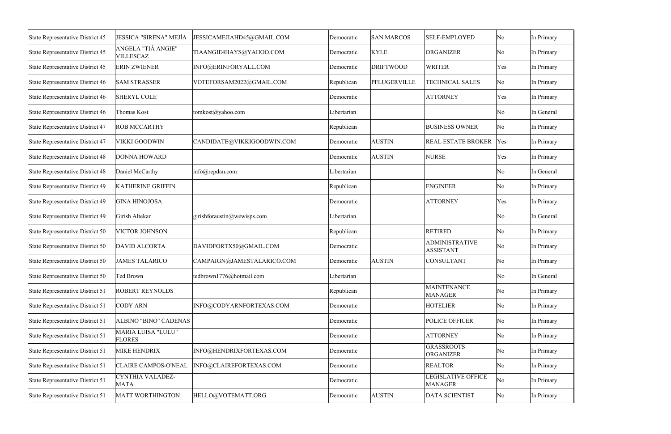| <b>State Representative District 45</b> | <b>JESSICA "SIRENA" MEJÍA</b>              | JESSICAMEJIAHD45@GMAIL.COM  | Democratic  | <b>SAN MARCOS</b> | <b>SELF-EMPLOYED</b>                      | $\overline{\rm No}$ | In Primary |
|-----------------------------------------|--------------------------------------------|-----------------------------|-------------|-------------------|-------------------------------------------|---------------------|------------|
| State Representative District 45        | ANGELA "TIÁ ANGIE"<br><b>VILLESCAZ</b>     | TIAANGIE4HAYS@YAHOO.COM     | Democratic  | <b>KYLE</b>       | <b>ORGANIZER</b>                          | $\overline{\rm No}$ | In Primary |
| State Representative District 45        | <b>ERIN ZWIENER</b>                        | INFO@ERINFORYALL.COM        | Democratic  | <b>DRIFTWOOD</b>  | <b>WRITER</b>                             | Yes                 | In Primary |
| State Representative District 46        | <b>SAM STRASSER</b>                        | VOTEFORSAM2022@GMAIL.COM    | Republican  | PFLUGERVILLE      | <b>TECHNICAL SALES</b>                    | No                  | In Primary |
| State Representative District 46        | <b>SHERYL COLE</b>                         |                             | Democratic  |                   | <b>ATTORNEY</b>                           | Yes                 | In Primary |
| State Representative District 46        | Thomas Kost                                | tomkost@yahoo.com           | Libertarian |                   |                                           | $\overline{\rm No}$ | In General |
| State Representative District 47        | <b>ROB MCCARTHY</b>                        |                             | Republican  |                   | <b>BUSINESS OWNER</b>                     | $\overline{\rm No}$ | In Primary |
| State Representative District 47        | VIKKI GOODWIN                              | CANDIDATE@VIKKIGOODWIN.COM  | Democratic  | <b>AUSTIN</b>     | <b>REAL ESTATE BROKER</b>                 | Yes                 | In Primary |
| <b>State Representative District 48</b> | <b>DONNA HOWARD</b>                        |                             | Democratic  | <b>AUSTIN</b>     | <b>NURSE</b>                              | Yes                 | In Primary |
| <b>State Representative District 48</b> | Daniel McCarthy                            | info@repdan.com             | Libertarian |                   |                                           | $\overline{\rm No}$ | In General |
| State Representative District 49        | KATHERINE GRIFFIN                          |                             | Republican  |                   | <b>ENGINEER</b>                           | $\overline{\rm No}$ | In Primary |
| State Representative District 49        | <b>GINA HINOJOSA</b>                       |                             | Democratic  |                   | <b>ATTORNEY</b>                           | Yes                 | In Primary |
| State Representative District 49        | Girish Altekar                             | girishforaustin@wewisps.com | Libertarian |                   |                                           | $\overline{\rm No}$ | In General |
| State Representative District 50        | VICTOR JOHNSON                             |                             | Republican  |                   | <b>RETIRED</b>                            | $\overline{\rm No}$ | In Primary |
| State Representative District 50        | <b>DAVID ALCORTA</b>                       | DAVIDFORTX50@GMAIL.COM      | Democratic  |                   | <b>ADMINISTRATIVE</b><br><b>ASSISTANT</b> | $\overline{\rm No}$ | In Primary |
| State Representative District 50        | <b>JAMES TALARICO</b>                      | CAMPAIGN@JAMESTALARICO.COM  | Democratic  | <b>AUSTIN</b>     | CONSULTANT                                | $\overline{\rm No}$ | In Primary |
| State Representative District 50        | <b>Ted Brown</b>                           | tedbrown1776@hotmail.com    | Libertarian |                   |                                           | $\overline{\rm No}$ | In General |
| State Representative District 51        | <b>ROBERT REYNOLDS</b>                     |                             | Republican  |                   | <b>MAINTENANCE</b><br><b>MANAGER</b>      | No                  | In Primary |
| State Representative District 51        | <b>CODY ARN</b>                            | INFO@CODYARNFORTEXAS.COM    | Democratic  |                   | <b>HOTELIER</b>                           | $\overline{\rm No}$ | In Primary |
| State Representative District 51        | <b>ALBINO "BINO" CADENAS</b>               |                             | Democratic  |                   | POLICE OFFICER                            | No                  | In Primary |
| State Representative District 51        | <b>MARIA LUISA "LULU"</b><br><b>FLORES</b> |                             | Democratic  |                   | <b>ATTORNEY</b>                           | No                  | In Primary |
| State Representative District 51        | <b>MIKE HENDRIX</b>                        | INFO@HENDRIXFORTEXAS.COM    | Democratic  |                   | <b>GRASSROOTS</b><br><b>ORGANIZER</b>     | $\overline{\rm No}$ | In Primary |
| State Representative District 51        | <b>CLAIRE CAMPOS-O'NEAL</b>                | INFO@CLAIREFORTEXAS.COM     | Democratic  |                   | <b>REALTOR</b>                            | No                  | In Primary |
| State Representative District 51        | CYNTHIA VALADEZ-<br><b>MATA</b>            |                             | Democratic  |                   | LEGISLATIVE OFFICE<br><b>MANAGER</b>      | No                  | In Primary |
| State Representative District 51        | <b>MATT WORTHINGTON</b>                    | HELLO@VOTEMATT.ORG          | Democratic  | <b>AUSTIN</b>     | DATA SCIENTIST                            | No                  | In Primary |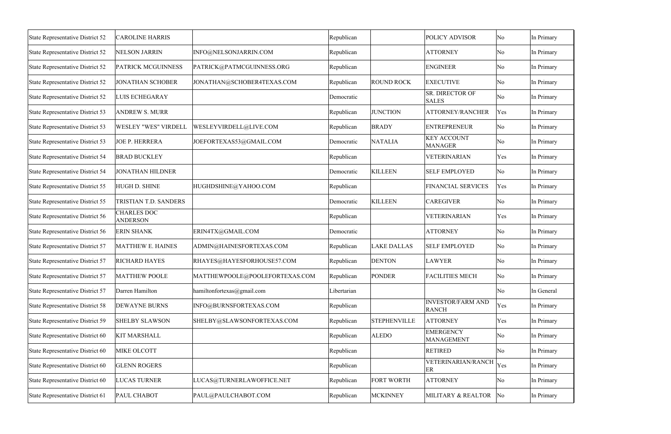| <b>State Representative District 52</b> | <b>CAROLINE HARRIS</b>                |                                | Republican  |                     | <b>POLICY ADVISOR</b>                    | No                     | In Primary |
|-----------------------------------------|---------------------------------------|--------------------------------|-------------|---------------------|------------------------------------------|------------------------|------------|
| State Representative District 52        | <b>NELSON JARRIN</b>                  | INFO@NELSONJARRIN.COM          | Republican  |                     | <b>ATTORNEY</b>                          | No                     | In Primary |
| State Representative District 52        | <b>PATRICK MCGUINNESS</b>             | PATRICK@PATMCGUINNESS.ORG      | Republican  |                     | <b>ENGINEER</b>                          | No                     | In Primary |
| State Representative District 52        | <b>JONATHAN SCHOBER</b>               | JONATHAN@SCHOBER4TEXAS.COM     | Republican  | <b>ROUND ROCK</b>   | <b>EXECUTIVE</b>                         | No                     | In Primary |
| State Representative District 52        | LUIS ECHEGARAY                        |                                | Democratic  |                     | SR. DIRECTOR OF<br><b>SALES</b>          | No                     | In Primary |
| State Representative District 53        | <b>ANDREW S. MURR</b>                 |                                | Republican  | <b>JUNCTION</b>     | <b>ATTORNEY/RANCHER</b>                  | Yes                    | In Primary |
| State Representative District 53        | WESLEY "WES" VIRDELL                  | WESLEYVIRDELL@LIVE.COM         | Republican  | <b>BRADY</b>        | <b>ENTREPRENEUR</b>                      | No                     | In Primary |
| State Representative District 53        | <b>JOE P. HERRERA</b>                 | JOEFORTEXAS53@GMAIL.COM        | Democratic  | <b>NATALIA</b>      | <b>KEY ACCOUNT</b><br><b>MANAGER</b>     | No                     | In Primary |
| State Representative District 54        | <b>BRAD BUCKLEY</b>                   |                                | Republican  |                     | <b>VETERINARIAN</b>                      | Yes                    | In Primary |
| State Representative District 54        | <b>JONATHAN HILDNER</b>               |                                | Democratic  | <b>KILLEEN</b>      | <b>SELF EMPLOYED</b>                     | No                     | In Primary |
| State Representative District 55        | HUGH D. SHINE                         | HUGHDSHINE@YAHOO.COM           | Republican  |                     | <b>FINANCIAL SERVICES</b>                | Yes                    | In Primary |
| State Representative District 55        | TRISTIAN T.D. SANDERS                 |                                | Democratic  | <b>KILLEEN</b>      | <b>CAREGIVER</b>                         | No                     | In Primary |
| State Representative District 56        | <b>CHARLES DOC</b><br><b>ANDERSON</b> |                                | Republican  |                     | VETERINARIAN                             | Yes                    | In Primary |
| State Representative District 56        | <b>ERIN SHANK</b>                     | ERIN4TX@GMAIL.COM              | Democratic  |                     | <b>ATTORNEY</b>                          | No                     | In Primary |
| State Representative District 57        | <b>MATTHEW E. HAINES</b>              | ADMIN@HAINESFORTEXAS.COM       | Republican  | <b>LAKE DALLAS</b>  | <b>SELF EMPLOYED</b>                     | No                     | In Primary |
| State Representative District 57        | <b>RICHARD HAYES</b>                  | RHAYES@HAYESFORHOUSE57.COM     | Republican  | <b>DENTON</b>       | <b>LAWYER</b>                            | No                     | In Primary |
| State Representative District 57        | <b>MATTHEW POOLE</b>                  | MATTHEWPOOLE@POOLEFORTEXAS.COM | Republican  | <b>PONDER</b>       | <b>FACILITIES MECH</b>                   | No                     | In Primary |
| State Representative District 57        | Darren Hamilton                       | hamiltonfortexas@gmail.com     | Libertarian |                     |                                          | No                     | In General |
| <b>State Representative District 58</b> | <b>DEWAYNE BURNS</b>                  | INFO@BURNSFORTEXAS.COM         | Republican  |                     | <b>INVESTOR/FARM AND</b><br><b>RANCH</b> | Yes                    | In Primary |
| <b>State Representative District 59</b> | <b>SHELBY SLAWSON</b>                 | SHELBY@SLAWSONFORTEXAS.COM     | Republican  | <b>STEPHENVILLE</b> | <b>ATTORNEY</b>                          | Yes                    | In Primary |
| State Representative District 60        | <b>KIT MARSHALL</b>                   |                                | Republican  | <b>ALEDO</b>        | <b>EMERGENCY</b><br><b>MANAGEMENT</b>    | No                     | In Primary |
| State Representative District 60        | MIKE OLCOTT                           |                                | Republican  |                     | <b>RETIRED</b>                           | No                     | In Primary |
| State Representative District 60        | <b>GLENN ROGERS</b>                   |                                | Republican  |                     | VETERINARIAN/RANCH<br>ER                 | Yes                    | In Primary |
| State Representative District 60        | <b>LUCAS TURNER</b>                   | LUCAS@TURNERLAWOFFICE.NET      | Republican  | <b>FORT WORTH</b>   | <b>ATTORNEY</b>                          | No                     | In Primary |
| State Representative District 61        | PAUL CHABOT                           | PAUL@PAULCHABOT.COM            | Republican  | <b>MCKINNEY</b>     | MILITARY & REALTOR                       | $\overline{\text{No}}$ | In Primary |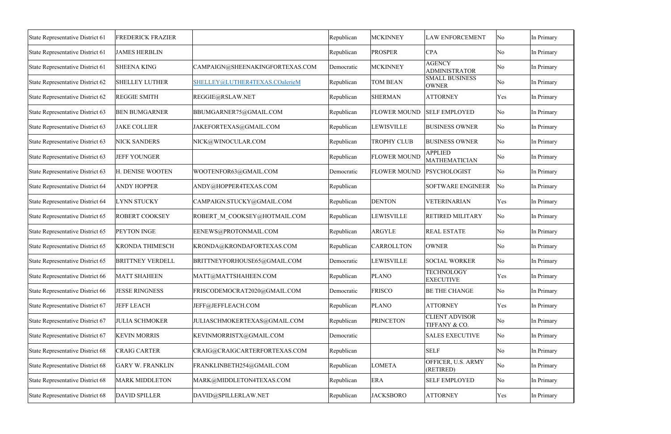| State Representative District 61 | FREDERICK FRAZIER       |                                 | Republican | <b>MCKINNEY</b>     | <b>LAW ENFORCEMENT</b>                 | No                  | In Primary |
|----------------------------------|-------------------------|---------------------------------|------------|---------------------|----------------------------------------|---------------------|------------|
| State Representative District 61 | <b>JAMES HERBLIN</b>    |                                 | Republican | <b>PROSPER</b>      | <b>CPA</b>                             | No                  | In Primary |
| State Representative District 61 | <b>SHEENA KING</b>      | CAMPAIGN@SHEENAKINGFORTEXAS.COM | Democratic | <b>MCKINNEY</b>     | <b>AGENCY</b><br><b>ADMINISTRATOR</b>  | No                  | In Primary |
| State Representative District 62 | <b>SHELLEY LUTHER</b>   | SHELLEY@LUTHER4TEXAS.COalerieM  | Republican | <b>TOM BEAN</b>     | <b>SMALL BUSINESS</b><br><b>OWNER</b>  | No                  | In Primary |
| State Representative District 62 | <b>REGGIE SMITH</b>     | REGGIE@RSLAW.NET                | Republican | <b>SHERMAN</b>      | <b>ATTORNEY</b>                        | Yes                 | In Primary |
| State Representative District 63 | <b>BEN BUMGARNER</b>    | BBUMGARNER75@GMAIL.COM          | Republican | <b>FLOWER MOUND</b> | <b>SELF EMPLOYED</b>                   | No                  | In Primary |
| State Representative District 63 | <b>JAKE COLLIER</b>     | JAKEFORTEXAS@GMAIL.COM          | Republican | <b>LEWISVILLE</b>   | <b>BUSINESS OWNER</b>                  | No                  | In Primary |
| State Representative District 63 | <b>NICK SANDERS</b>     | NICK@WINOCULAR.COM              | Republican | <b>TROPHY CLUB</b>  | <b>BUSINESS OWNER</b>                  | No                  | In Primary |
| State Representative District 63 | <b>JEFF YOUNGER</b>     |                                 | Republican | <b>FLOWER MOUND</b> | <b>APPLIED</b><br><b>MATHEMATICIAN</b> | No                  | In Primary |
| State Representative District 63 | H. DENISE WOOTEN        | WOOTENFOR63@GMAIL.COM           | Democratic | <b>FLOWER MOUND</b> | PSYCHOLOGIST                           | No                  | In Primary |
| State Representative District 64 | <b>ANDY HOPPER</b>      | ANDY@HOPPER4TEXAS.COM           | Republican |                     | <b>SOFTWARE ENGINEER</b>               | No                  | In Primary |
| State Representative District 64 | <b>LYNN STUCKY</b>      | CAMPAIGN.STUCKY@GMAIL.COM       | Republican | <b>DENTON</b>       | <b>VETERINARIAN</b>                    | Yes                 | In Primary |
| State Representative District 65 | ROBERT COOKSEY          | ROBERT M COOKSEY@HOTMAIL.COM    | Republican | <b>LEWISVILLE</b>   | <b>RETIRED MILITARY</b>                | No                  | In Primary |
| State Representative District 65 | PEYTON INGE             | EENEWS@PROTONMAIL.COM           | Republican | <b>ARGYLE</b>       | <b>REAL ESTATE</b>                     | No                  | In Primary |
| State Representative District 65 | KRONDA THIMESCH         | KRONDA@KRONDAFORTEXAS.COM       | Republican | <b>CARROLLTON</b>   | <b>OWNER</b>                           | No                  | In Primary |
| State Representative District 65 | <b>BRITTNEY VERDELL</b> | BRITTNEYFORHOUSE65@GMAIL.COM    | Democratic | <b>LEWISVILLE</b>   | <b>SOCIAL WORKER</b>                   | No                  | In Primary |
| State Representative District 66 | <b>MATT SHAHEEN</b>     | MATT@MATTSHAHEEN.COM            | Republican | <b>PLANO</b>        | <b>TECHNOLOGY</b><br><b>EXECUTIVE</b>  | Yes                 | In Primary |
| State Representative District 66 | <b>JESSE RINGNESS</b>   | FRISCODEMOCRAT2020@GMAIL.COM    | Democratic | FRISCO              | <b>BE THE CHANGE</b>                   | $\overline{\rm No}$ | In Primary |
| State Representative District 67 | <b>JEFF LEACH</b>       | JEFF@JEFFLEACH.COM              | Republican | <b>PLANO</b>        | <b>ATTORNEY</b>                        | Yes                 | In Primary |
| State Representative District 67 | <b>JULIA SCHMOKER</b>   | JULIASCHMOKERTEXAS@GMAIL.COM    | Republican | <b>PRINCETON</b>    | <b>CLIENT ADVISOR</b><br>TIFFANY & CO. | No                  | In Primary |
| State Representative District 67 | <b>KEVIN MORRIS</b>     | KEVINMORRISTX@GMAIL.COM         | Democratic |                     | <b>SALES EXECUTIVE</b>                 | No                  | In Primary |
| State Representative District 68 | <b>CRAIG CARTER</b>     | CRAIG@CRAIGCARTERFORTEXAS.COM   | Republican |                     | <b>SELF</b>                            | No                  | In Primary |
| State Representative District 68 | <b>GARY W. FRANKLIN</b> | FRANKLINBETH254@GMAIL.COM       | Republican | <b>LOMETA</b>       | OFFICER, U.S. ARMY<br>(RETIRED)        | No                  | In Primary |
| State Representative District 68 | <b>MARK MIDDLETON</b>   | MARK@MIDDLETON4TEXAS.COM        | Republican | <b>ERA</b>          | <b>SELF EMPLOYED</b>                   | $\overline{\rm No}$ | In Primary |
| State Representative District 68 | <b>DAVID SPILLER</b>    | DAVID@SPILLERLAW.NET            | Republican | <b>JACKSBORO</b>    | <b>ATTORNEY</b>                        | Yes                 | In Primary |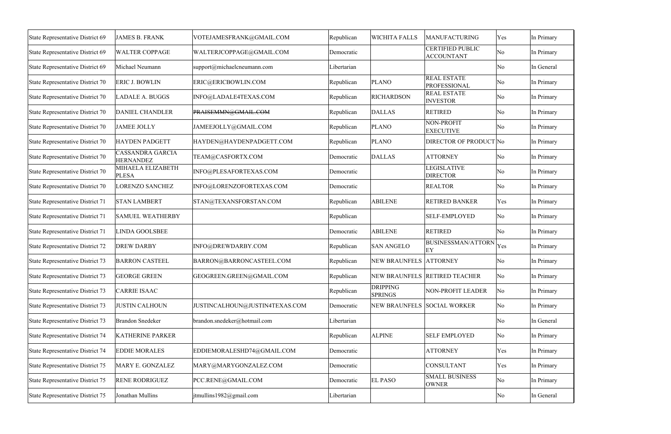| State Representative District 69        | <b>JAMES B. FRANK</b>                       | VOTEJAMESFRANK@GMAIL.COM       | Republican  | <b>WICHITA FALLS</b>              | <b>MANUFACTURING</b>                         | Yes                 | In Primary |
|-----------------------------------------|---------------------------------------------|--------------------------------|-------------|-----------------------------------|----------------------------------------------|---------------------|------------|
| State Representative District 69        | <b>WALTER COPPAGE</b>                       | WALTERJCOPPAGE@GMAIL.COM       | Democratic  |                                   | <b>CERTIFIED PUBLIC</b><br><b>ACCOUNTANT</b> | $\overline{\rm No}$ | In Primary |
| State Representative District 69        | Michael Neumann                             | support@michaelcneumann.com    | Libertarian |                                   |                                              | $\overline{\rm No}$ | In General |
| State Representative District 70        | <b>ERIC J. BOWLIN</b>                       | ERIC@ERICBOWLIN.COM            | Republican  | <b>PLANO</b>                      | <b>REAL ESTATE</b><br><b>PROFESSIONAL</b>    | $\overline{\rm No}$ | In Primary |
| State Representative District 70        | <b>LADALE A. BUGGS</b>                      | INFO@LADALE4TEXAS.COM          | Republican  | <b>RICHARDSON</b>                 | <b>REAL ESTATE</b><br><b>INVESTOR</b>        | $\overline{\rm No}$ | In Primary |
| State Representative District 70        | <b>DANIEL CHANDLER</b>                      | PRAISEMMN@GMAIL.COM            | Republican  | <b>DALLAS</b>                     | <b>RETIRED</b>                               | $\overline{\rm No}$ | In Primary |
| State Representative District 70        | <b>JAMEE JOLLY</b>                          | JAMEEJOLLY@GMAIL.COM           | Republican  | <b>PLANO</b>                      | NON-PROFIT<br><b>EXECUTIVE</b>               | $\overline{\rm No}$ | In Primary |
| State Representative District 70        | <b>HAYDEN PADGETT</b>                       | HAYDEN@HAYDENPADGETT.COM       | Republican  | <b>PLANO</b>                      | DIRECTOR OF PRODUCT No                       |                     | In Primary |
| State Representative District 70        | <b>CASSANDRA GARCIA</b><br><b>HERNANDEZ</b> | TEAM@CASFORTX.COM              | Democratic  | <b>DALLAS</b>                     | <b>ATTORNEY</b>                              | $\overline{\rm No}$ | In Primary |
| State Representative District 70        | MIHAELA ELIZABETH<br><b>PLESA</b>           | INFO@PLESAFORTEXAS.COM         | Democratic  |                                   | <b>LEGISLATIVE</b><br><b>DIRECTOR</b>        | No                  | In Primary |
| State Representative District 70        | <b>LORENZO SANCHEZ</b>                      | INFO@LORENZOFORTEXAS.COM       | Democratic  |                                   | <b>REALTOR</b>                               | $\overline{\rm No}$ | In Primary |
| State Representative District 71        | <b>STAN LAMBERT</b>                         | STAN@TEXANSFORSTAN.COM         | Republican  | <b>ABILENE</b>                    | <b>RETIRED BANKER</b>                        | Yes                 | In Primary |
| State Representative District 71        | <b>SAMUEL WEATHERBY</b>                     |                                | Republican  |                                   | <b>SELF-EMPLOYED</b>                         | $\overline{\rm No}$ | In Primary |
| State Representative District 71        | <b>LINDA GOOLSBEE</b>                       |                                | Democratic  | <b>ABILENE</b>                    | <b>RETIRED</b>                               | No                  | In Primary |
| State Representative District 72        | <b>DREW DARBY</b>                           | INFO@DREWDARBY.COM             | Republican  | <b>SAN ANGELO</b>                 | BUSINESSMAN/ATTORN<br>EY                     | Yes                 | In Primary |
| State Representative District 73        | <b>BARRON CASTEEL</b>                       | BARRON@BARRONCASTEEL.COM       | Republican  | NEW BRAUNFELS ATTORNEY            |                                              | No                  | In Primary |
| State Representative District 73        | <b>GEORGE GREEN</b>                         | GEOGREEN.GREEN@GMAIL.COM       | Republican  |                                   | NEW BRAUNFELS RETIRED TEACHER                | N <sub>0</sub>      | In Primary |
| <b>State Representative District 73</b> | <b>CARRIE ISAAC</b>                         |                                | Republican  | <b>DRIPPING</b><br><b>SPRINGS</b> | NON-PROFIT LEADER                            | No                  | In Primary |
| State Representative District 73        | <b>JUSTIN CALHOUN</b>                       | JUSTINCALHOUN@JUSTIN4TEXAS.COM | Democratic  | NEW BRAUNFELS SOCIAL WORKER       |                                              | No                  | In Primary |
| State Representative District 73        | <b>Brandon Snedeker</b>                     | brandon.snedeker@hotmail.com   | Libertarian |                                   |                                              | $\overline{\rm No}$ | In General |
| State Representative District 74        | KATHERINE PARKER                            |                                | Republican  | <b>ALPINE</b>                     | <b>SELF EMPLOYED</b>                         | $\overline{\rm No}$ | In Primary |
| <b>State Representative District 74</b> | <b>EDDIE MORALES</b>                        | EDDIEMORALESHD74@GMAIL.COM     | Democratic  |                                   | <b>ATTORNEY</b>                              | Yes                 | In Primary |
| State Representative District 75        | MARY E. GONZALEZ                            | MARY@MARYGONZALEZ.COM          | Democratic  |                                   | <b>CONSULTANT</b>                            | Yes                 | In Primary |
| <b>State Representative District 75</b> | <b>RENE RODRIGUEZ</b>                       | PCC.RENE@GMAIL.COM             | Democratic  | <b>EL PASO</b>                    | <b>SMALL BUSINESS</b><br><b>OWNER</b>        | $\overline{\rm No}$ | In Primary |
| State Representative District 75        | Jonathan Mullins                            | jtmullins1982@gmail.com        | Libertarian |                                   |                                              | No                  | In General |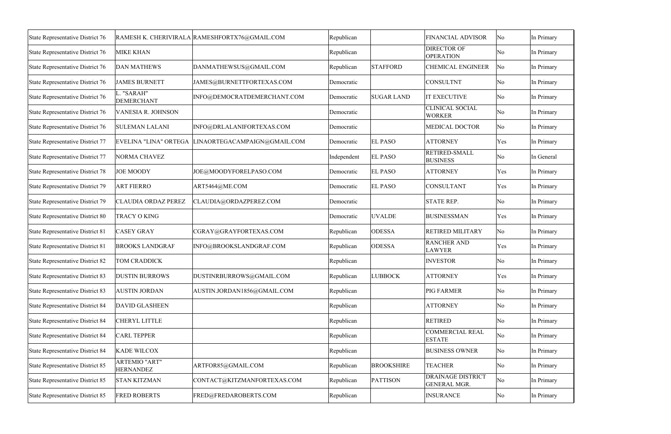| State Representative District 76 |                                          | RAMESH K. CHERIVIRALA RAMESHFORTX76@GMAIL.COM      | Republican  |                   | FINANCIAL ADVISOR                               | No  | In Primary |
|----------------------------------|------------------------------------------|----------------------------------------------------|-------------|-------------------|-------------------------------------------------|-----|------------|
| State Representative District 76 | <b>MIKE KHAN</b>                         |                                                    | Republican  |                   | DIRECTOR OF<br><b>OPERATION</b>                 | No  | In Primary |
| State Representative District 76 | <b>DAN MATHEWS</b>                       | DANMATHEWSUS@GMAIL.COM                             | Republican  | <b>STAFFORD</b>   | <b>CHEMICAL ENGINEER</b>                        | No  | In Primary |
| State Representative District 76 | <b>JAMES BURNETT</b>                     | JAMES@BURNETTFORTEXAS.COM                          | Democratic  |                   | <b>CONSULTNT</b>                                | No  | In Primary |
| State Representative District 76 | L. "SARAH"<br><b>DEMERCHANT</b>          | INFO@DEMOCRATDEMERCHANT.COM                        | Democratic  | <b>SUGAR LAND</b> | <b>IT EXECUTIVE</b>                             | No  | In Primary |
| State Representative District 76 | VANESIA R. JOHNSON                       |                                                    | Democratic  |                   | <b>CLINICAL SOCIAL</b><br><b>WORKER</b>         | No  | In Primary |
| State Representative District 76 | <b>SULEMAN LALANI</b>                    | INFO@DRLALANIFORTEXAS.COM                          | Democratic  |                   | <b>MEDICAL DOCTOR</b>                           | No  | In Primary |
| State Representative District 77 |                                          | EVELINA "LINA" ORTEGA LINAORTEGACAMPAIGN@GMAIL.COM | Democratic  | <b>EL PASO</b>    | <b>ATTORNEY</b>                                 | Yes | In Primary |
| State Representative District 77 | <b>NORMA CHAVEZ</b>                      |                                                    | Independent | <b>EL PASO</b>    | RETIRED-SMALL<br><b>BUSINESS</b>                | No  | In General |
| State Representative District 78 | <b>JOE MOODY</b>                         | JOE@MOODYFORELPASO.COM                             | Democratic  | <b>EL PASO</b>    | <b>ATTORNEY</b>                                 | Yes | In Primary |
| State Representative District 79 | <b>ART FIERRO</b>                        | ART5464@ME.COM                                     | Democratic  | <b>EL PASO</b>    | <b>CONSULTANT</b>                               | Yes | In Primary |
| State Representative District 79 | <b>CLAUDIA ORDAZ PEREZ</b>               | CLAUDIA@ORDAZPEREZ.COM                             | Democratic  |                   | <b>STATE REP.</b>                               | No  | In Primary |
| State Representative District 80 | <b>TRACY O KING</b>                      |                                                    | Democratic  | <b>UVALDE</b>     | <b>BUSINESSMAN</b>                              | Yes | In Primary |
| State Representative District 81 | <b>CASEY GRAY</b>                        | CGRAY@GRAYFORTEXAS.COM                             | Republican  | <b>ODESSA</b>     | <b>RETIRED MILITARY</b>                         | No  | In Primary |
| State Representative District 81 | <b>BROOKS LANDGRAF</b>                   | INFO@BROOKSLANDGRAF.COM                            | Republican  | <b>ODESSA</b>     | <b>RANCHER AND</b><br><b>LAWYER</b>             | Yes | In Primary |
| State Representative District 82 | TOM CRADDICK                             |                                                    | Republican  |                   | <b>INVESTOR</b>                                 | No  | In Primary |
| State Representative District 83 | <b>DUSTIN BURROWS</b>                    | DUSTINRBURROWS@GMAIL.COM                           | Republican  | <b>LUBBOCK</b>    | <b>ATTORNEY</b>                                 | Yes | In Primary |
| State Representative District 83 | <b>AUSTIN JORDAN</b>                     | AUSTIN.JORDAN1856@GMAIL.COM                        | Republican  |                   | <b>PIG FARMER</b>                               | No  | In Primary |
| State Representative District 84 | <b>DAVID GLASHEEN</b>                    |                                                    | Republican  |                   | <b>ATTORNEY</b>                                 | No  | In Primary |
| State Representative District 84 | <b>CHERYL LITTLE</b>                     |                                                    | Republican  |                   | <b>RETIRED</b>                                  | No  | In Primary |
| State Representative District 84 | <b>CARL TEPPER</b>                       |                                                    | Republican  |                   | <b>COMMERCIAL REAL</b><br><b>ESTATE</b>         | No  | In Primary |
| State Representative District 84 | <b>KADE WILCOX</b>                       |                                                    | Republican  |                   | <b>BUSINESS OWNER</b>                           | No  | In Primary |
| State Representative District 85 | <b>ARTEMIO "ART"</b><br><b>HERNANDEZ</b> | ARTFOR85@GMAIL.COM                                 | Republican  | <b>BROOKSHIRE</b> | <b>TEACHER</b>                                  | No  | In Primary |
| State Representative District 85 | <b>STAN KITZMAN</b>                      | CONTACT@KITZMANFORTEXAS.COM                        | Republican  | PATTISON          | <b>DRAINAGE DISTRICT</b><br><b>GENERAL MGR.</b> | No  | In Primary |
| State Representative District 85 | <b>FRED ROBERTS</b>                      | FRED@FREDAROBERTS.COM                              | Republican  |                   | <b>INSURANCE</b>                                | No  | In Primary |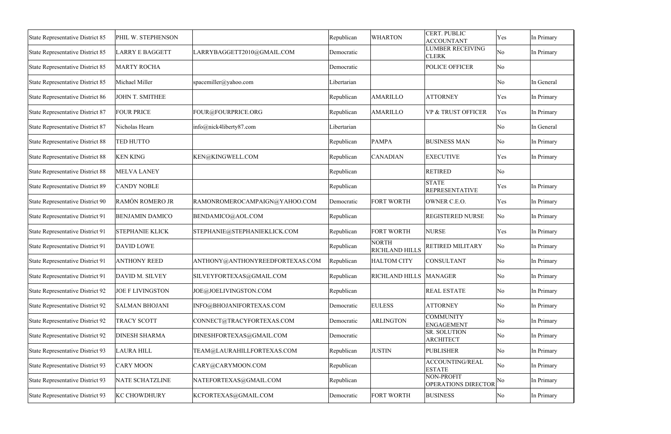| <b>State Representative District 85</b> | PHIL W. STEPHENSON      |                                 | Republican  | <b>WHARTON</b>                        | <b>CERT. PUBLIC</b><br><b>ACCOUNTANT</b> | Yes                 | In Primary |
|-----------------------------------------|-------------------------|---------------------------------|-------------|---------------------------------------|------------------------------------------|---------------------|------------|
| <b>State Representative District 85</b> | <b>LARRY E BAGGETT</b>  | LARRYBAGGETT2010@GMAIL.COM      | Democratic  |                                       | <b>LUMBER RECEIVING</b><br><b>CLERK</b>  | No                  | In Primary |
| State Representative District 85        | <b>MARTY ROCHA</b>      |                                 | Democratic  |                                       | POLICE OFFICER                           | $\overline{\rm No}$ |            |
| State Representative District 85        | Michael Miller          | spacemiller@yahoo.com           | Libertarian |                                       |                                          | $\overline{\rm No}$ | In General |
| State Representative District 86        | JOHN T. SMITHEE         |                                 | Republican  | <b>AMARILLO</b>                       | <b>ATTORNEY</b>                          | Yes                 | In Primary |
| <b>State Representative District 87</b> | <b>FOUR PRICE</b>       | FOUR@FOURPRICE.ORG              | Republican  | <b>AMARILLO</b>                       | <b>VP &amp; TRUST OFFICER</b>            | Yes                 | In Primary |
| <b>State Representative District 87</b> | Nicholas Hearn          | info@nick4liberty87.com         | Libertarian |                                       |                                          | $\overline{\rm No}$ | In General |
| <b>State Representative District 88</b> | <b>TED HUTTO</b>        |                                 | Republican  | <b>PAMPA</b>                          | <b>BUSINESS MAN</b>                      | No                  | In Primary |
| <b>State Representative District 88</b> | <b>KEN KING</b>         | KEN@KINGWELL.COM                | Republican  | <b>CANADIAN</b>                       | <b>EXECUTIVE</b>                         | Yes                 | In Primary |
| <b>State Representative District 88</b> | <b>MELVA LANEY</b>      |                                 | Republican  |                                       | <b>RETIRED</b>                           | $\overline{\rm No}$ |            |
| State Representative District 89        | <b>CANDY NOBLE</b>      |                                 | Republican  |                                       | <b>STATE</b><br><b>REPRESENTATIVE</b>    | Yes                 | In Primary |
| State Representative District 90        | RAMÓN ROMERO JR         | RAMONROMEROCAMPAIGN@YAHOO.COM   | Democratic  | <b>FORT WORTH</b>                     | OWNER C.E.O.                             | Yes                 | In Primary |
| <b>State Representative District 91</b> | <b>BENJAMIN DAMICO</b>  | BENDAMICO@AOL.COM               | Republican  |                                       | REGISTERED NURSE                         | No                  | In Primary |
| <b>State Representative District 91</b> | <b>STEPHANIE KLICK</b>  | STEPHANIE@STEPHANIEKLICK.COM    | Republican  | <b>FORT WORTH</b>                     | <b>NURSE</b>                             | Yes                 | In Primary |
| State Representative District 91        | <b>DAVID LOWE</b>       |                                 | Republican  | <b>NORTH</b><br><b>RICHLAND HILLS</b> | RETIRED MILITARY                         | No                  | In Primary |
| State Representative District 91        | <b>ANTHONY REED</b>     | ANTHONY@ANTHONYREEDFORTEXAS.COM | Republican  | <b>HALTOM CITY</b>                    | <b>CONSULTANT</b>                        | $\overline{\rm No}$ | In Primary |
| State Representative District 91        | DAVID M. SILVEY         | SILVEYFORTEXAS@GMAIL.COM        | Republican  | RICHLAND HILLS MANAGER                |                                          | $\overline{\rm No}$ | In Primary |
| <b>State Representative District 92</b> | <b>JOE F LIVINGSTON</b> | JOE@JOELIVINGSTON.COM           | Republican  |                                       | <b>REAL ESTATE</b>                       | No                  | In Primary |
| <b>State Representative District 92</b> | <b>SALMAN BHOJANI</b>   | INFO@BHOJANIFORTEXAS.COM        | Democratic  | <b>EULESS</b>                         | <b>ATTORNEY</b>                          | $\overline{\rm No}$ | In Primary |
| <b>State Representative District 92</b> | TRACY SCOTT             | CONNECT@TRACYFORTEXAS.COM       | Democratic  | <b>ARLINGTON</b>                      | <b>COMMUNITY</b><br><b>ENGAGEMENT</b>    | $\overline{\rm No}$ | In Primary |
| State Representative District 92        | <b>DINESH SHARMA</b>    | DINESHFORTEXAS@GMAIL.COM        | Democratic  |                                       | <b>SR. SOLUTION</b><br><b>ARCHITECT</b>  | $\overline{\rm No}$ | In Primary |
| <b>State Representative District 93</b> | <b>LAURA HILL</b>       | TEAM@LAURAHILLFORTEXAS.COM      | Republican  | <b>JUSTIN</b>                         | <b>PUBLISHER</b>                         | $\overline{\rm No}$ | In Primary |
| <b>State Representative District 93</b> | <b>CARY MOON</b>        | CARY@CARYMOON.COM               | Republican  |                                       | <b>ACCOUNTING/REAL</b><br><b>ESTATE</b>  | No                  | In Primary |
| <b>State Representative District 93</b> | <b>NATE SCHATZLINE</b>  | NATEFORTEXAS@GMAIL.COM          | Republican  |                                       | NON-PROFIT<br>OPERATIONS DIRECTOR        | $\overline{\rm No}$ | In Primary |
| <b>State Representative District 93</b> | <b>KC CHOWDHURY</b>     | KCFORTEXAS@GMAIL.COM            | Democratic  | <b>FORT WORTH</b>                     | <b>BUSINESS</b>                          | No                  | In Primary |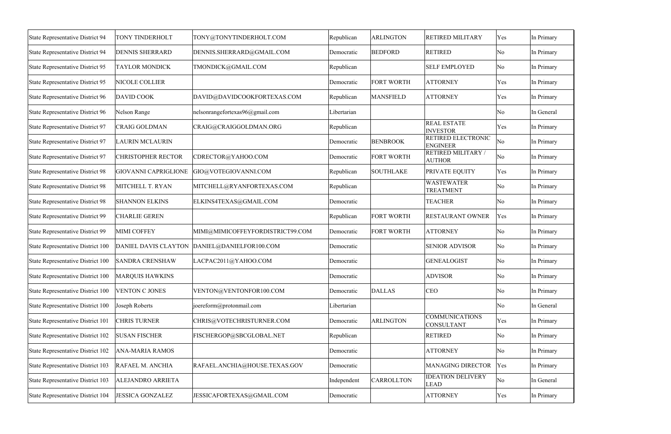| <b>State Representative District 94</b>  | TONY TINDERHOLT             | TONY@TONYTINDERHOLT.COM          | Republican  | <b>ARLINGTON</b>  | <b>RETIRED MILITARY</b>                      | Yes                 | In Primary |
|------------------------------------------|-----------------------------|----------------------------------|-------------|-------------------|----------------------------------------------|---------------------|------------|
| State Representative District 94         | <b>DENNIS SHERRARD</b>      | DENNIS.SHERRARD@GMAIL.COM        | Democratic  | <b>BEDFORD</b>    | <b>RETIRED</b>                               | $\overline{\rm No}$ | In Primary |
| State Representative District 95         | <b>TAYLOR MONDICK</b>       | TMONDICK@GMAIL.COM               | Republican  |                   | <b>SELF EMPLOYED</b>                         | $\overline{\rm No}$ | In Primary |
| <b>State Representative District 95</b>  | NICOLE COLLIER              |                                  | Democratic  | <b>FORT WORTH</b> | <b>ATTORNEY</b>                              | Yes                 | In Primary |
| State Representative District 96         | <b>DAVID COOK</b>           | DAVID@DAVIDCOOKFORTEXAS.COM      | Republican  | <b>MANSFIELD</b>  | <b>ATTORNEY</b>                              | Yes                 | In Primary |
| State Representative District 96         | Nelson Range                | nelsonrangefortexas96@gmail.com  | Libertarian |                   |                                              | $\overline{\rm No}$ | In General |
| State Representative District 97         | <b>CRAIG GOLDMAN</b>        | CRAIG@CRAIGGOLDMAN.ORG           | Republican  |                   | <b>REAL ESTATE</b><br><b>INVESTOR</b>        | Yes                 | In Primary |
| State Representative District 97         | <b>LAURIN MCLAURIN</b>      |                                  | Democratic  | <b>BENBROOK</b>   | <b>RETIRED ELECTRONIC</b><br><b>ENGINEER</b> | No                  | In Primary |
| <b>State Representative District 97</b>  | <b>CHRISTOPHER RECTOR</b>   | CDRECTOR@YAHOO.COM               | Democratic  | <b>FORT WORTH</b> | RETIRED MILITARY /<br><b>AUTHOR</b>          | No                  | In Primary |
| <b>State Representative District 98</b>  | <b>GIOVANNI CAPRIGLIONE</b> | GIO@VOTEGIOVANNI.COM             | Republican  | <b>SOUTHLAKE</b>  | <b>PRIVATE EQUITY</b>                        | Yes                 | In Primary |
| <b>State Representative District 98</b>  | MITCHELL T. RYAN            | MITCHELL@RYANFORTEXAS.COM        | Republican  |                   | <b>WASTEWATER</b><br><b>TREATMENT</b>        | $\overline{\rm No}$ | In Primary |
| State Representative District 98         | <b>SHANNON ELKINS</b>       | ELKINS4TEXAS@GMAIL.COM           | Democratic  |                   | <b>TEACHER</b>                               | $\overline{\rm No}$ | In Primary |
| State Representative District 99         | <b>CHARLIE GEREN</b>        |                                  | Republican  | <b>FORT WORTH</b> | RESTAURANT OWNER                             | Yes                 | In Primary |
| State Representative District 99         | <b>MIMI COFFEY</b>          | MIMI@MIMICOFFEYFORDISTRICT99.COM | Democratic  | <b>FORT WORTH</b> | <b>ATTORNEY</b>                              | $\overline{\rm No}$ | In Primary |
| State Representative District 100        | DANIEL DAVIS CLAYTON        | DANIEL@DANIELFOR100.COM          | Democratic  |                   | <b>SENIOR ADVISOR</b>                        | $\overline{\rm No}$ | In Primary |
| State Representative District 100        | <b>SANDRA CRENSHAW</b>      | LACPAC2011@YAHOO.COM             | Democratic  |                   | <b>GENEALOGIST</b>                           | $\overline{\rm No}$ | In Primary |
| <b>State Representative District 100</b> | <b>MARQUIS HAWKINS</b>      |                                  | Democratic  |                   | <b>ADVISOR</b>                               | $\overline{\rm No}$ | In Primary |
| State Representative District 100        | <b>VENTON C JONES</b>       | VENTON@VENTONFOR100.COM          | Democratic  | <b>DALLAS</b>     | <b>CEO</b>                                   | $\overline{\rm No}$ | In Primary |
| State Representative District 100        | Joseph Roberts              | joereform@protonmail.com         | Libertarian |                   |                                              | $\overline{\rm No}$ | In General |
| State Representative District 101        | <b>CHRIS TURNER</b>         | CHRIS@VOTECHRISTURNER.COM        | Democratic  | <b>ARLINGTON</b>  | <b>COMMUNICATIONS</b><br>CONSULTANT          | Yes                 | In Primary |
| State Representative District 102        | <b>SUSAN FISCHER</b>        | FISCHERGOP@SBCGLOBAL.NET         | Republican  |                   | <b>RETIRED</b>                               | $\overline{\rm No}$ | In Primary |
| State Representative District 102        | <b>ANA-MARIA RAMOS</b>      |                                  | Democratic  |                   | <b>ATTORNEY</b>                              | $\overline{\rm No}$ | In Primary |
| State Representative District 103        | RAFAEL M. ANCHIA            | RAFAEL.ANCHIA@HOUSE.TEXAS.GOV    | Democratic  |                   | <b>MANAGING DIRECTOR</b>                     | Yes                 | In Primary |
| State Representative District 103        | ALEJANDRO ARRIETA           |                                  | Independent | <b>CARROLLTON</b> | <b>IDEATION DELIVERY</b><br><b>LEAD</b>      | No                  | In General |
| State Representative District 104        | <b>JESSICA GONZALEZ</b>     | JESSICAFORTEXAS@GMAIL.COM        | Democratic  |                   | <b>ATTORNEY</b>                              | Yes                 | In Primary |
|                                          |                             |                                  |             |                   |                                              |                     |            |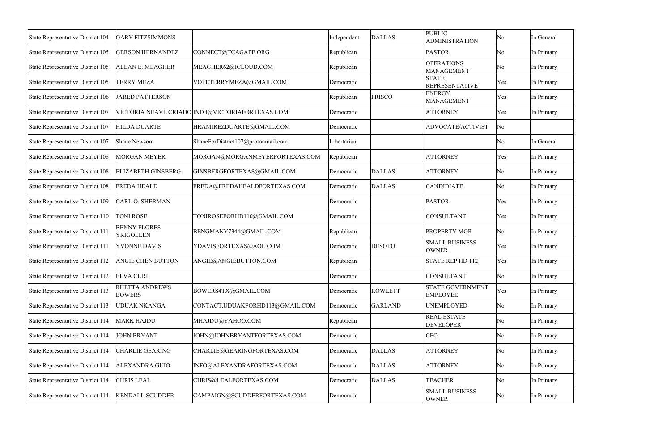| State Representative District 104        | <b>GARY FITZSIMMONS</b>          |                                                 | Independent | <b>DALLAS</b>  | <b>PUBLIC</b><br><b>ADMINISTRATION</b>     | No  | In General |
|------------------------------------------|----------------------------------|-------------------------------------------------|-------------|----------------|--------------------------------------------|-----|------------|
| State Representative District 105        | <b>GERSON HERNANDEZ</b>          | CONNECT@TCAGAPE.ORG                             | Republican  |                | <b>PASTOR</b>                              | No  | In Primary |
| State Representative District 105        | <b>ALLAN E. MEAGHER</b>          | MEAGHER62@ICLOUD.COM                            | Republican  |                | <b>OPERATIONS</b><br><b>MANAGEMENT</b>     | No  | In Primary |
| State Representative District 105        | <b>TERRY MEZA</b>                | VOTETERRYMEZA@GMAIL.COM                         | Democratic  |                | <b>STATE</b><br><b>REPRESENTATIVE</b>      | Yes | In Primary |
| State Representative District 106        | <b>JARED PATTERSON</b>           |                                                 | Republican  | FRISCO         | <b>ENERGY</b><br><b>MANAGEMENT</b>         | Yes | In Primary |
| State Representative District 107        |                                  | VICTORIA NEAVE CRIADO INFO@VICTORIAFORTEXAS.COM | Democratic  |                | <b>ATTORNEY</b>                            | Yes | In Primary |
| State Representative District 107        | <b>HILDA DUARTE</b>              | HRAMIREZDUARTE@GMAIL.COM                        | Democratic  |                | ADVOCATE/ACTIVIST                          | No  |            |
| State Representative District 107        | Shane Newsom                     | ShaneForDistrict107@protonmail.com              | Libertarian |                |                                            | No  | In General |
| State Representative District 108        | <b>MORGAN MEYER</b>              | MORGAN@MORGANMEYERFORTEXAS.COM                  | Republican  |                | <b>ATTORNEY</b>                            | Yes | In Primary |
| <b>State Representative District 108</b> | <b>ELIZABETH GINSBERG</b>        | GINSBERGFORTEXAS@GMAIL.COM                      | Democratic  | <b>DALLAS</b>  | <b>ATTORNEY</b>                            | No  | In Primary |
| <b>State Representative District 108</b> | <b>FREDA HEALD</b>               | FREDA@FREDAHEALDFORTEXAS.COM                    | Democratic  | <b>DALLAS</b>  | <b>CANDIDIATE</b>                          | No  | In Primary |
| State Representative District 109        | <b>CARL O. SHERMAN</b>           |                                                 | Democratic  |                | <b>PASTOR</b>                              | Yes | In Primary |
| State Representative District 110        | <b>TONI ROSE</b>                 | TONIROSEFORHD110@GMAIL.COM                      | Democratic  |                | <b>CONSULTANT</b>                          | Yes | In Primary |
| State Representative District 111        | <b>BENNY FLORES</b><br>YRIGOLLEN | BENGMANY7344@GMAIL.COM                          | Republican  |                | <b>PROPERTY MGR</b>                        | No  | In Primary |
| State Representative District 111        | YVONNE DAVIS                     | YDAVISFORTEXAS@AOL.COM                          | Democratic  | <b>DESOTO</b>  | <b>SMALL BUSINESS</b><br><b>OWNER</b>      | Yes | In Primary |
| State Representative District 112        | ANGIE CHEN BUTTON                | ANGIE@ANGIEBUTTON.COM                           | Republican  |                | <b>STATE REP HD 112</b>                    | Yes | In Primary |
| <b>State Representative District 112</b> | <b>ELVA CURL</b>                 |                                                 | Democratic  |                | CONSULTANT                                 | No  | In Primary |
| State Representative District 113        | RHETTA ANDREWS<br><b>BOWERS</b>  | BOWERS4TX@GMAIL.COM                             | Democratic  | <b>ROWLETT</b> | <b>STATE GOVERNMENT</b><br><b>EMPLOYEE</b> | Yes | In Primary |
| State Representative District 113        | <b>UDUAK NKANGA</b>              | CONTACT.UDUAKFORHD113@GMAIL.COM                 | Democratic  | <b>GARLAND</b> | <b>UNEMPLOYED</b>                          | No  | In Primary |
| State Representative District 114        | <b>MARK HAJDU</b>                | MHAJDU@YAHOO.COM                                | Republican  |                | <b>REAL ESTATE</b><br><b>DEVELOPER</b>     | No  | In Primary |
| State Representative District 114        | <b>JOHN BRYANT</b>               | JOHN@JOHNBRYANTFORTEXAS.COM                     | Democratic  |                | <b>CEO</b>                                 | No  | In Primary |
| State Representative District 114        | <b>CHARLIE GEARING</b>           | CHARLIE@GEARINGFORTEXAS.COM                     | Democratic  | <b>DALLAS</b>  | <b>ATTORNEY</b>                            | No  | In Primary |
| State Representative District 114        | <b>ALEXANDRA GUIO</b>            | INFO@ALEXANDRAFORTEXAS.COM                      | Democratic  | <b>DALLAS</b>  | <b>ATTORNEY</b>                            | No  | In Primary |
| State Representative District 114        | <b>CHRIS LEAL</b>                | CHRIS@LEALFORTEXAS.COM                          | Democratic  | <b>DALLAS</b>  | <b>TEACHER</b>                             | No  | In Primary |
| State Representative District 114        | <b>KENDALL SCUDDER</b>           | CAMPAIGN@SCUDDERFORTEXAS.COM                    | Democratic  |                | <b>SMALL BUSINESS</b><br><b>OWNER</b>      | No  | In Primary |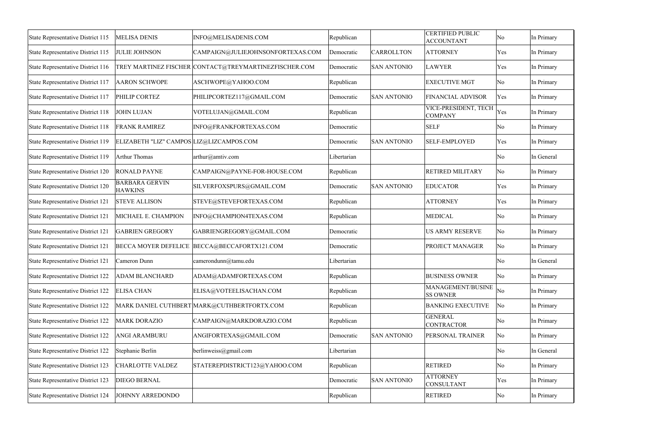| State Representative District 115        | <b>MELISA DENIS</b>                      | INFO@MELISADENIS.COM                                  | Republican  |                    | <b>CERTIFIED PUBLIC</b><br><b>ACCOUNTANT</b> | No  | In Primary |
|------------------------------------------|------------------------------------------|-------------------------------------------------------|-------------|--------------------|----------------------------------------------|-----|------------|
| State Representative District 115        | <b>JULIE JOHNSON</b>                     | CAMPAIGN@JULIEJOHNSONFORTEXAS.COM                     | Democratic  | <b>CARROLLTON</b>  | <b>ATTORNEY</b>                              | Yes | In Primary |
| State Representative District 116        |                                          | TREY MARTINEZ FISCHER CONTACT@TREYMARTINEZFISCHER.COM | Democratic  | <b>SAN ANTONIO</b> | <b>LAWYER</b>                                | Yes | In Primary |
| State Representative District 117        | <b>AARON SCHWOPE</b>                     | ASCHWOPE@YAHOO.COM                                    | Republican  |                    | <b>EXECUTIVE MGT</b>                         | No  | In Primary |
| State Representative District 117        | PHILIP CORTEZ                            | PHILIPCORTEZ117@GMAIL.COM                             | Democratic  | <b>SAN ANTONIO</b> | <b>FINANCIAL ADVISOR</b>                     | Yes | In Primary |
| State Representative District 118        | JOHN LUJAN                               | VOTELUJAN@GMAIL.COM                                   | Republican  |                    | VICE-PRESIDENT, TECH<br><b>COMPANY</b>       | Yes | In Primary |
| State Representative District 118        | <b>FRANK RAMIREZ</b>                     | INFO@FRANKFORTEXAS.COM                                | Democratic  |                    | <b>SELF</b>                                  | No  | In Primary |
| State Representative District 119        | ELIZABETH "LIZ" CAMPOS LIZ@LIZCAMPOS.COM |                                                       | Democratic  | <b>SAN ANTONIO</b> | <b>SELF-EMPLOYED</b>                         | Yes | In Primary |
| State Representative District 119        | <b>Arthur Thomas</b>                     | arthur@amtiv.com                                      | Libertarian |                    |                                              | No  | In General |
| State Representative District 120        | <b>RONALD PAYNE</b>                      | CAMPAIGN@PAYNE-FOR-HOUSE.COM                          | Republican  |                    | <b>RETIRED MILITARY</b>                      | No  | In Primary |
| State Representative District 120        | <b>BARBARA GERVIN</b><br><b>HAWKINS</b>  | SILVERFOXSPURS@GMAIL.COM                              | Democratic  | <b>SAN ANTONIO</b> | <b>EDUCATOR</b>                              | Yes | In Primary |
| State Representative District 121        | <b>STEVE ALLISON</b>                     | STEVE@STEVEFORTEXAS.COM                               | Republican  |                    | <b>ATTORNEY</b>                              | Yes | In Primary |
| State Representative District 121        | MICHAEL E. CHAMPION                      | INFO@CHAMPION4TEXAS.COM                               | Republican  |                    | <b>MEDICAL</b>                               | No  | In Primary |
| <b>State Representative District 121</b> | <b>GABRIEN GREGORY</b>                   | GABRIENGREGORY@GMAIL.COM                              | Democratic  |                    | <b>US ARMY RESERVE</b>                       | No  | In Primary |
| State Representative District 121        |                                          | BECCA MOYER DEFELICE BECCA@BECCAFORTX121.COM          | Democratic  |                    | PROJECT MANAGER                              | No  | In Primary |
| <b>State Representative District 121</b> | Cameron Dunn                             | camerondunn@tamu.edu                                  | Libertarian |                    |                                              | No  | In General |
| <b>State Representative District 122</b> | <b>ADAM BLANCHARD</b>                    | ADAM@ADAMFORTEXAS.COM                                 | Republican  |                    | <b>BUSINESS OWNER</b>                        | No  | In Primary |
| State Representative District 122        | <b>ELISA CHAN</b>                        | ELISA@VOTEELISACHAN.COM                               | Republican  |                    | MANAGEMENT/BUSINE<br><b>SS OWNER</b>         | No  | In Primary |
| State Representative District 122        |                                          | MARK DANIEL CUTHBERT MARK@CUTHBERTFORTX.COM           | Republican  |                    | <b>BANKING EXECUTIVE</b>                     | No  | In Primary |
| State Representative District 122        | <b>MARK DORAZIO</b>                      | CAMPAIGN@MARKDORAZIO.COM                              | Republican  |                    | <b>GENERAL</b><br><b>CONTRACTOR</b>          | No  | In Primary |
| State Representative District 122        | <b>ANGI ARAMBURU</b>                     | ANGIFORTEXAS@GMAIL.COM                                | Democratic  | <b>SAN ANTONIO</b> | PERSONAL TRAINER                             | No  | In Primary |
| State Representative District 122        | Stephanie Berlin                         | berlinweiss@gmail.com                                 | Libertarian |                    |                                              | No  | In General |
| State Representative District 123        | <b>CHARLOTTE VALDEZ</b>                  | STATEREPDISTRICT123@YAHOO.COM                         | Republican  |                    | <b>RETIRED</b>                               | No  | In Primary |
| State Representative District 123        | <b>DIEGO BERNAL</b>                      |                                                       | Democratic  | <b>SAN ANTONIO</b> | <b>ATTORNEY</b><br><b>CONSULTANT</b>         | Yes | In Primary |
| State Representative District 124        | <b>JOHNNY ARREDONDO</b>                  |                                                       | Republican  |                    | <b>RETIRED</b>                               | No  | In Primary |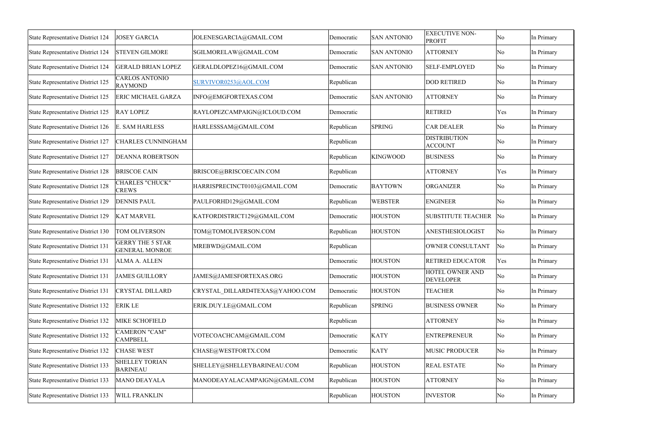| State Representative District 124        | <b>JOSEY GARCIA</b>                              | JOLENESGARCIA@GMAIL.COM         | Democratic | <b>SAN ANTONIO</b> | <b>EXECUTIVE NON-</b><br><b>PROFIT</b> | No                     | In Primary |
|------------------------------------------|--------------------------------------------------|---------------------------------|------------|--------------------|----------------------------------------|------------------------|------------|
| <b>State Representative District 124</b> | <b>STEVEN GILMORE</b>                            | SGILMORELAW@GMAIL.COM           | Democratic | <b>SAN ANTONIO</b> | <b>ATTORNEY</b>                        | No                     | In Primary |
| State Representative District 124        | <b>GERALD BRIAN LOPEZ</b>                        | GERALDLOPEZ16@GMAIL.COM         | Democratic | <b>SAN ANTONIO</b> | <b>SELF-EMPLOYED</b>                   | No                     | In Primary |
| State Representative District 125        | <b>CARLOS ANTONIO</b><br>RAYMOND                 | SURVIVOR0253@AOL.COM            | Republican |                    | <b>DOD RETIRED</b>                     | No                     | In Primary |
| State Representative District 125        | <b>ERIC MICHAEL GARZA</b>                        | INFO@EMGFORTEXAS.COM            | Democratic | <b>SAN ANTONIO</b> | <b>ATTORNEY</b>                        | No                     | In Primary |
| State Representative District 125        | <b>RAY LOPEZ</b>                                 | RAYLOPEZCAMPAIGN@ICLOUD.COM     | Democratic |                    | <b>RETIRED</b>                         | Yes                    | In Primary |
| State Representative District 126        | <b>E. SAM HARLESS</b>                            | HARLESSSAM@GMAIL.COM            | Republican | <b>SPRING</b>      | <b>CAR DEALER</b>                      | No                     | In Primary |
| State Representative District 127        | <b>CHARLES CUNNINGHAM</b>                        |                                 | Republican |                    | <b>DISTRIBUTION</b><br><b>ACCOUNT</b>  | No                     | In Primary |
| <b>State Representative District 127</b> | <b>DEANNA ROBERTSON</b>                          |                                 | Republican | <b>KINGWOOD</b>    | <b>BUSINESS</b>                        | No                     | In Primary |
| <b>State Representative District 128</b> | <b>BRISCOE CAIN</b>                              | BRISCOE@BRISCOECAIN.COM         | Republican |                    | <b>ATTORNEY</b>                        | Yes                    | In Primary |
| <b>State Representative District 128</b> | <b>CHARLES "CHUCK"</b><br><b>CREWS</b>           | HARRISPRECINCT0103@GMAIL.COM    | Democratic | <b>BAYTOWN</b>     | <b>ORGANIZER</b>                       | No                     | In Primary |
| <b>State Representative District 129</b> | <b>DENNIS PAUL</b>                               | PAULFORHD129@GMAIL.COM          | Republican | <b>WEBSTER</b>     | <b>ENGINEER</b>                        | No                     | In Primary |
| State Representative District 129        | <b>KAT MARVEL</b>                                | KATFORDISTRICT129@GMAIL.COM     | Democratic | <b>HOUSTON</b>     | <b>SUBSTITUTE TEACHER</b>              | $\overline{\text{No}}$ | In Primary |
| State Representative District 130        | TOM OLIVERSON                                    | TOM@TOMOLIVERSON.COM            | Republican | <b>HOUSTON</b>     | ANESTHESIOLOGIST                       | No                     | In Primary |
| State Representative District 131        | <b>GERRY THE 5 STAR</b><br><b>GENERAL MONROE</b> | MREBWD@GMAIL.COM                | Republican |                    | OWNER CONSULTANT                       | No                     | In Primary |
| State Representative District 131        | <b>ALMA A. ALLEN</b>                             |                                 | Democratic | <b>HOUSTON</b>     | <b>RETIRED EDUCATOR</b>                | Yes                    | In Primary |
| <b>State Representative District 131</b> | <b>JAMES GUILLORY</b>                            | JAMES@JAMESFORTEXAS.ORG         | Democratic | <b>HOUSTON</b>     | HOTEL OWNER AND<br><b>DEVELOPER</b>    | No                     | In Primary |
| <b>State Representative District 131</b> | <b>CRYSTAL DILLARD</b>                           | CRYSTAL DILLARD4TEXAS@YAHOO.COM | Democratic | <b>HOUSTON</b>     | <b>TEACHER</b>                         | No                     | In Primary |
| State Representative District 132        | <b>ERIK LE</b>                                   | ERIK.DUY.LE@GMAIL.COM           | Republican | <b>SPRING</b>      | <b>BUSINESS OWNER</b>                  | No                     | In Primary |
| State Representative District 132        | <b>MIKE SCHOFIELD</b>                            |                                 | Republican |                    | <b>ATTORNEY</b>                        | No                     | In Primary |
| State Representative District 132        | <b>CAMERON "CAM"</b><br><b>CAMPBELL</b>          | VOTECOACHCAM@GMAIL.COM          | Democratic | <b>KATY</b>        | <b>ENTREPRENEUR</b>                    | No                     | In Primary |
| State Representative District 132        | <b>CHASE WEST</b>                                | CHASE@WESTFORTX.COM             | Democratic | <b>KATY</b>        | <b>MUSIC PRODUCER</b>                  | No                     | In Primary |
| State Representative District 133        | <b>SHELLEY TORIAN</b><br><b>BARINEAU</b>         | SHELLEY@SHELLEYBARINEAU.COM     | Republican | <b>HOUSTON</b>     | <b>REAL ESTATE</b>                     | No                     | In Primary |
| State Representative District 133        | <b>MANO DEAYALA</b>                              | MANODEAYALACAMPAIGN@GMAIL.COM   | Republican | <b>HOUSTON</b>     | <b>ATTORNEY</b>                        | No                     | In Primary |
| State Representative District 133        | <b>WILL FRANKLIN</b>                             |                                 | Republican | <b>HOUSTON</b>     | <b>INVESTOR</b>                        | No                     | In Primary |
|                                          |                                                  |                                 |            |                    |                                        |                        |            |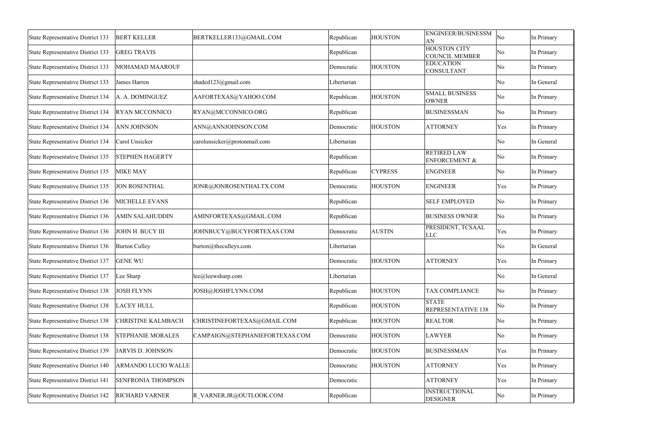| <b>State Representative District 133</b>      | <b>BERT KELLER</b>        | BERTKELLER133@GMAIL.COM        | Republican  | <b>HOUSTON</b> | <b>ENGINEER/BUSINESSM</b><br>AN                | No                  | In Primary |
|-----------------------------------------------|---------------------------|--------------------------------|-------------|----------------|------------------------------------------------|---------------------|------------|
| State Representative District 133             | <b>GREG TRAVIS</b>        |                                | Republican  |                | <b>HOUSTON CITY</b><br><b>COUNCIL MEMBER</b>   | No                  | In Primary |
| State Representative District 133             | <b>MOHAMAD MAAROUF</b>    |                                | Democratic  | <b>HOUSTON</b> | <b>EDUCATION</b><br><b>CONSULTANT</b>          | $\overline{\rm No}$ | In Primary |
| State Representative District 133             | James Harren              | shaded123@gmail.com            | Libertarian |                |                                                | $\overline{\rm No}$ | In General |
| <b>State Representative District 134</b>      | A. A. DOMINGUEZ           | AAFORTEXAS@YAHOO.COM           | Republican  | <b>HOUSTON</b> | <b>SMALL BUSINESS</b><br><b>OWNER</b>          | No                  | In Primary |
| State Representative District 134             | <b>RYAN MCCONNICO</b>     | RYAN@MCCONNICO.ORG             | Republican  |                | <b>BUSINESSMAN</b>                             | $\overline{\rm No}$ | In Primary |
| State Representative District 134             | <b>ANN JOHNSON</b>        | ANN@ANNJOHNSON.COM             | Democratic  | <b>HOUSTON</b> | <b>ATTORNEY</b>                                | Yes                 | In Primary |
| State Representative District 134             | Carol Unsicker            | carolunsicker@protonmail.com   | Libertarian |                |                                                | $\overline{\rm No}$ | In General |
| State Representative District 135             | <b>STEPHEN HAGERTY</b>    |                                | Republican  |                | <b>RETIRED LAW</b><br><b>ENFORCEMENT &amp;</b> | $\overline{\rm No}$ | In Primary |
| State Representative District 135             | <b>MIKE MAY</b>           |                                | Republican  | <b>CYPRESS</b> | <b>ENGINEER</b>                                | $\overline{\rm No}$ | In Primary |
| State Representative District 135             | <b>JON ROSENTHAL</b>      | JONR@JONROSENTHALTX.COM        | Democratic  | <b>HOUSTON</b> | <b>ENGINEER</b>                                | Yes                 | In Primary |
| State Representative District 136             | MICHELLE EVANS            |                                | Republican  |                | <b>SELF EMPLOYED</b>                           | No                  | In Primary |
| State Representative District 136             | <b>AMIN SALAHUDDIN</b>    | AMINFORTEXAS@GMAIL.COM         | Republican  |                | <b>BUSINESS OWNER</b>                          | $\overline{\rm No}$ | In Primary |
| State Representative District 136             | JOHN H. BUCY III          | JOHNBUCY@BUCYFORTEXAS.COM      | Democratic  | <b>AUSTIN</b>  | PRESIDENT, TCSAAL<br><b>LLC</b>                | Yes                 | In Primary |
| State Representative District 136             | <b>Burton Culley</b>      | burton@theculleys.com          | Libertarian |                |                                                | $\overline{\rm No}$ | In General |
| State Representative District 137             | <b>GENE WU</b>            |                                | Democratic  | <b>HOUSTON</b> | <b>ATTORNEY</b>                                | Yes                 | In Primary |
| State Representative District 137   Lee Sharp |                           | lee@leewsharp.com              | Libertarian |                |                                                | No                  | In General |
| <b>State Representative District 138</b>      | <b>JOSH FLYNN</b>         | JOSH@JOSHFLYNN.COM             | Republican  | <b>HOUSTON</b> | TAX COMPLIANCE                                 | No                  | In Primary |
| State Representative District 138             | <b>LACEY HULL</b>         |                                | Republican  | <b>HOUSTON</b> | <b>STATE</b><br>REPRESENTATIVE 138             | No                  | In Primary |
| State Representative District 138             | <b>CHRISTINE KALMBACH</b> | CHRISTINEFORTEXAS@GMAIL.COM    | Republican  | <b>HOUSTON</b> | <b>REALTOR</b>                                 | $\overline{\rm No}$ | In Primary |
| State Representative District 138             | <b>STEPHANIE MORALES</b>  | CAMPAIGN@STEPHANIEFORTEXAS.COM | Democratic  | <b>HOUSTON</b> | <b>LAWYER</b>                                  | $\overline{\rm No}$ | In Primary |
| State Representative District 139             | JARVIS D. JOHNSON         |                                | Democratic  | <b>HOUSTON</b> | <b>BUSINESSMAN</b>                             | Yes                 | In Primary |
| State Representative District 140             | ARMANDO LUCIO WALLE       |                                | Democratic  | <b>HOUSTON</b> | <b>ATTORNEY</b>                                | Yes                 | In Primary |
| <b>State Representative District 141</b>      | <b>SENFRONIA THOMPSON</b> |                                | Democratic  |                | <b>ATTORNEY</b>                                | Yes                 | In Primary |
| State Representative District 142             | <b>RICHARD VARNER</b>     | R VARNER.JR@OUTLOOK.COM        | Republican  |                | <b>INSTRUCTIONAL</b><br><b>DESIGNER</b>        | No                  | In Primary |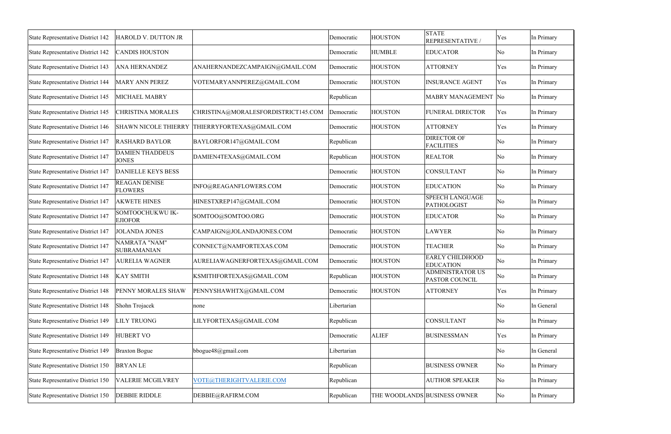| State Representative District 142        | HAROLD V. DUTTON JR                    |                                                | Democratic  | <b>HOUSTON</b> | <b>STATE</b>                                     | Yes | In Primary |
|------------------------------------------|----------------------------------------|------------------------------------------------|-------------|----------------|--------------------------------------------------|-----|------------|
|                                          |                                        |                                                |             |                | <b>REPRESENTATIVE</b>                            |     |            |
| State Representative District 142        | <b>CANDIS HOUSTON</b>                  |                                                | Democratic  | <b>HUMBLE</b>  | <b>EDUCATOR</b>                                  | No  | In Primary |
| State Representative District 143        | <b>ANA HERNANDEZ</b>                   | ANAHERNANDEZCAMPAIGN@GMAIL.COM                 | Democratic  | <b>HOUSTON</b> | <b>ATTORNEY</b>                                  | Yes | In Primary |
| State Representative District 144        | <b>MARY ANN PEREZ</b>                  | VOTEMARYANNPEREZ@GMAIL.COM                     | Democratic  | <b>HOUSTON</b> | <b>INSURANCE AGENT</b>                           | Yes | In Primary |
| State Representative District 145        | <b>MICHAEL MABRY</b>                   |                                                | Republican  |                | MABRY MANAGEMENT No                              |     | In Primary |
| State Representative District 145        | <b>CHRISTINA MORALES</b>               | CHRISTINA@MORALESFORDISTRICT145.COM            | Democratic  | <b>HOUSTON</b> | FUNERAL DIRECTOR                                 | Yes | In Primary |
| State Representative District 146        |                                        | SHAWN NICOLE THIERRY THIERRYFORTEXAS@GMAIL.COM | Democratic  | <b>HOUSTON</b> | <b>ATTORNEY</b>                                  | Yes | In Primary |
| <b>State Representative District 147</b> | <b>RASHARD BAYLOR</b>                  | BAYLORFOR147@GMAIL.COM                         | Republican  |                | <b>DIRECTOR OF</b><br><b>FACILITIES</b>          | No  | In Primary |
| <b>State Representative District 147</b> | <b>DAMIEN THADDEUS</b><br><b>JONES</b> | DAMIEN4TEXAS@GMAIL.COM                         | Republican  | <b>HOUSTON</b> | <b>REALTOR</b>                                   | No  | In Primary |
| <b>State Representative District 147</b> | <b>DANIELLE KEYS BESS</b>              |                                                | Democratic  | <b>HOUSTON</b> | <b>CONSULTANT</b>                                | No  | In Primary |
| State Representative District 147        | <b>REAGAN DENISE</b><br><b>FLOWERS</b> | INFO@REAGANFLOWERS.COM                         | Democratic  | <b>HOUSTON</b> | <b>EDUCATION</b>                                 | No  | In Primary |
| State Representative District 147        | <b>AKWETE HINES</b>                    | HINESTXREP147@GMAIL.COM                        | Democratic  | <b>HOUSTON</b> | <b>SPEECH LANGUAGE</b><br><b>PATHOLOGIST</b>     | No  | In Primary |
| State Representative District 147        | SOMTOOCHUKWU IK-<br><b>EJIOFOR</b>     | SOMTOO@SOMTOO.ORG                              | Democratic  | <b>HOUSTON</b> | <b>EDUCATOR</b>                                  | No  | In Primary |
| State Representative District 147        | <b>JOLANDA JONES</b>                   | CAMPAIGN@JOLANDAJONES.COM                      | Democratic  | <b>HOUSTON</b> | <b>LAWYER</b>                                    | No  | In Primary |
| State Representative District 147        | NAMRATA "NAM"<br><b>SUBRAMANIAN</b>    | CONNECT@NAMFORTEXAS.COM                        | Democratic  | <b>HOUSTON</b> | <b>TEACHER</b>                                   | No  | In Primary |
| State Representative District 147        | <b>AURELIA WAGNER</b>                  | AURELIAWAGNERFORTEXAS@GMAIL.COM                | Democratic  | <b>HOUSTON</b> | <b>EARLY CHILDHOOD</b><br><b>EDUCATION</b>       | No  | In Primary |
| <b>State Representative District 148</b> | <b>KAY SMITH</b>                       | KSMITHFORTEXAS@GMAIL.COM                       | Republican  | <b>HOUSTON</b> | <b>ADMINISTRATOR US</b><br><b>PASTOR COUNCIL</b> | No  | In Primary |
| State Representative District 148        | PENNY MORALES SHAW                     | PENNYSHAWHTX@GMAIL.COM                         | Democratic  | <b>HOUSTON</b> | <b>ATTORNEY</b>                                  | Yes | In Primary |
| State Representative District 148        | Shohn Trojacek                         | none                                           | Libertarian |                |                                                  | No  | In General |
| State Representative District 149        | <b>LILY TRUONG</b>                     | LILYFORTEXAS@GMAIL.COM                         | Republican  |                | <b>CONSULTANT</b>                                | No  | In Primary |
| State Representative District 149        | <b>HUBERT VO</b>                       |                                                | Democratic  | <b>ALIEF</b>   | <b>BUSINESSMAN</b>                               | Yes | In Primary |
| State Representative District 149        | <b>Braxton Bogue</b>                   | bbogue48@gmail.com                             | Libertarian |                |                                                  | No  | In General |
| State Representative District 150        | <b>BRYANLE</b>                         |                                                | Republican  |                | <b>BUSINESS OWNER</b>                            | No  | In Primary |
| State Representative District 150        | <b>VALERIE MCGILVREY</b>               | VOTE@THERIGHTVALERIE.COM                       | Republican  |                | <b>AUTHOR SPEAKER</b>                            | No  | In Primary |
| State Representative District 150        | <b>DEBBIE RIDDLE</b>                   | DEBBIE@RAFIRM.COM                              | Republican  |                | THE WOODLANDS BUSINESS OWNER                     | No  | In Primary |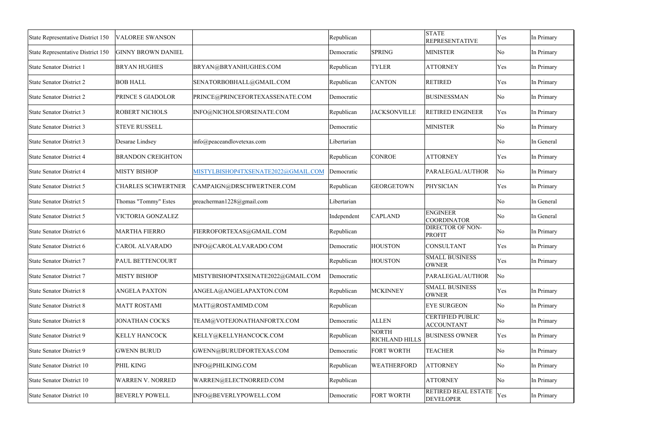| State Representative District 150 | <b>VALOREE SWANSON</b>    |                                     | Republican  |                                       | <b>STATE</b><br><b>REPRESENTATIVE</b>          | Yes                    | In Primary |
|-----------------------------------|---------------------------|-------------------------------------|-------------|---------------------------------------|------------------------------------------------|------------------------|------------|
| State Representative District 150 | <b>GINNY BROWN DANIEL</b> |                                     | Democratic  | <b>SPRING</b>                         | <b>MINISTER</b>                                | $\overline{\rm No}$    | In Primary |
| <b>State Senator District 1</b>   | <b>BRYAN HUGHES</b>       | BRYAN@BRYANHUGHES.COM               | Republican  | <b>TYLER</b>                          | <b>ATTORNEY</b>                                | Yes                    | In Primary |
| <b>State Senator District 2</b>   | <b>BOB HALL</b>           | SENATORBOBHALL@GMAIL.COM            | Republican  | <b>CANTON</b>                         | <b>RETIRED</b>                                 | Yes                    | In Primary |
| <b>State Senator District 2</b>   | PRINCE S GIADOLOR         | PRINCE@PRINCEFORTEXASSENATE.COM     | Democratic  |                                       | <b>BUSINESSMAN</b>                             | No                     | In Primary |
| <b>State Senator District 3</b>   | <b>ROBERT NICHOLS</b>     | INFO@NICHOLSFORSENATE.COM           | Republican  | <b>JACKSONVILLE</b>                   | <b>RETIRED ENGINEER</b>                        | Yes                    | In Primary |
| <b>State Senator District 3</b>   | <b>STEVE RUSSELL</b>      |                                     | Democratic  |                                       | <b>MINISTER</b>                                | No                     | In Primary |
| <b>State Senator District 3</b>   | Desarae Lindsey           | info@peaceandlovetexas.com          | Libertarian |                                       |                                                | No                     | In General |
| <b>State Senator District 4</b>   | <b>BRANDON CREIGHTON</b>  |                                     | Republican  | <b>CONROE</b>                         | <b>ATTORNEY</b>                                | Yes                    | In Primary |
| <b>State Senator District 4</b>   | <b>MISTY BISHOP</b>       | MISTYLBISHOP4TXSENATE2022@GMAIL.COM | Democratic  |                                       | PARALEGAL/AUTHOR                               | No                     | In Primary |
| <b>State Senator District 5</b>   | <b>CHARLES SCHWERTNER</b> | CAMPAIGN@DRSCHWERTNER.COM           | Republican  | <b>GEORGETOWN</b>                     | PHYSICIAN                                      | Yes                    | In Primary |
| State Senator District 5          | Thomas "Tommy" Estes      | preacherman1228@gmail.com           | Libertarian |                                       |                                                | $\overline{\rm No}$    | In General |
| <b>State Senator District 5</b>   | VICTORIA GONZALEZ         |                                     | Independent | <b>CAPLAND</b>                        | <b>ENGINEER</b><br>COORDINATOR                 | $\overline{\rm No}$    | In General |
| State Senator District 6          | <b>MARTHA FIERRO</b>      | FIERROFORTEXAS@GMAIL.COM            | Republican  |                                       | <b>DIRECTOR OF NON-</b><br><b>PROFIT</b>       | No                     | In Primary |
| State Senator District 6          | <b>CAROL ALVARADO</b>     | INFO@CAROLALVARADO.COM              | Democratic  | <b>HOUSTON</b>                        | <b>CONSULTANT</b>                              | Yes                    | In Primary |
| <b>State Senator District 7</b>   | PAUL BETTENCOURT          |                                     | Republican  | <b>HOUSTON</b>                        | <b>SMALL BUSINESS</b><br><b>OWNER</b>          | Yes                    | In Primary |
| State Senator District 7          | <b>MISTY BISHOP</b>       | MISTYBISHOP4TXSENATE2022@GMAIL.COM  | Democratic  |                                       | PARALEGAL/AUTHOR                               | $\overline{\rm No}$    |            |
| <b>State Senator District 8</b>   | <b>ANGELA PAXTON</b>      | ANGELA@ANGELAPAXTON.COM             | Republican  | <b>MCKINNEY</b>                       | <b>SMALL BUSINESS</b><br><b>OWNER</b>          | Yes                    | In Primary |
| <b>State Senator District 8</b>   | <b>MATT ROSTAMI</b>       | MATT@ROSTAMIMD.COM                  | Republican  |                                       | <b>EYE SURGEON</b>                             | $\overline{\rm No}$    | In Primary |
| <b>State Senator District 8</b>   | <b>JONATHAN COCKS</b>     | TEAM@VOTEJONATHANFORTX.COM          | Democratic  | <b>ALLEN</b>                          | <b>CERTIFIED PUBLIC</b><br><b>ACCOUNTANT</b>   | $\overline{\rm No}$    | In Primary |
| State Senator District 9          | <b>KELLY HANCOCK</b>      | KELLY@KELLYHANCOCK.COM              | Republican  | <b>NORTH</b><br><b>RICHLAND HILLS</b> | <b>BUSINESS OWNER</b>                          | Yes                    | In Primary |
| <b>State Senator District 9</b>   | <b>GWENN BURUD</b>        | GWENN@BURUDFORTEXAS.COM             | Democratic  | FORT WORTH                            | <b>TEACHER</b>                                 | $\overline{\rm No}$    | In Primary |
| <b>State Senator District 10</b>  | PHIL KING                 | INFO@PHILKING.COM                   | Republican  | WEATHERFORD                           | <b>ATTORNEY</b>                                | $\overline{\rm No}$    | In Primary |
| <b>State Senator District 10</b>  | <b>WARREN V. NORRED</b>   | WARREN@ELECTNORRED.COM              | Republican  |                                       | <b>ATTORNEY</b>                                | $\overline{\text{No}}$ | In Primary |
| State Senator District 10         | <b>BEVERLY POWELL</b>     | INFO@BEVERLYPOWELL.COM              | Democratic  | <b>FORT WORTH</b>                     | <b>RETIRED REAL ESTATE</b><br><b>DEVELOPER</b> | Yes                    | In Primary |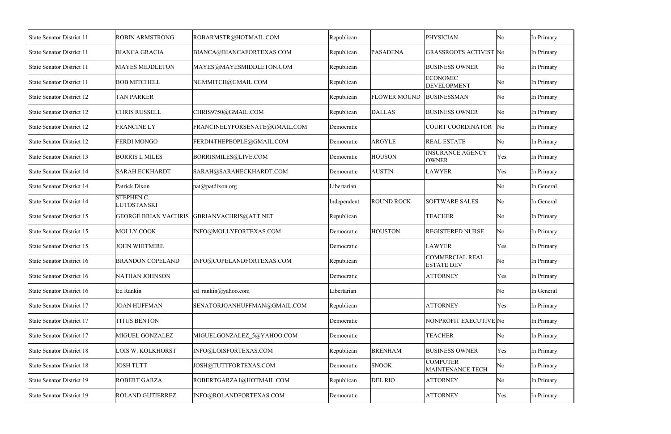| State Senator District 11        | <b>ROBIN ARMSTRONG</b>           | ROBARMSTR@HOTMAIL.COM         | Republican  |                     | <b>PHYSICIAN</b>                            | $\overline{\rm No}$ | In Primary |
|----------------------------------|----------------------------------|-------------------------------|-------------|---------------------|---------------------------------------------|---------------------|------------|
| State Senator District 11        | <b>BIANCA GRACIA</b>             | BIANCA@BIANCAFORTEXAS.COM     | Republican  | <b>PASADENA</b>     | <b>GRASSROOTS ACTIVIST No</b>               |                     | In Primary |
| <b>State Senator District 11</b> | <b>MAYES MIDDLETON</b>           | MAYES@MAYESMIDDLETON.COM      | Republican  |                     | <b>BUSINESS OWNER</b>                       | No                  | In Primary |
| <b>State Senator District 11</b> | <b>BOB MITCHELL</b>              | NGMMITCH@GMAIL.COM            | Republican  |                     | <b>ECONOMIC</b><br><b>DEVELOPMENT</b>       | $\overline{\rm No}$ | In Primary |
| <b>State Senator District 12</b> | <b>TAN PARKER</b>                |                               | Republican  | <b>FLOWER MOUND</b> | <b>BUSINESSMAN</b>                          | $\overline{\rm No}$ | In Primary |
| <b>State Senator District 12</b> | <b>CHRIS RUSSELL</b>             | CHRIS9750@GMAIL.COM           | Republican  | <b>DALLAS</b>       | <b>BUSINESS OWNER</b>                       | $\overline{\rm No}$ | In Primary |
| <b>State Senator District 12</b> | <b>FRANCINE LY</b>               | FRANCINELYFORSENATE@GMAIL.COM | Democratic  |                     | COURT COORDINATOR No                        |                     | In Primary |
| <b>State Senator District 12</b> | <b>FERDI MONGO</b>               | FERDI4THEPEOPLE@GMAIL.COM     | Democratic  | <b>ARGYLE</b>       | <b>REAL ESTATE</b>                          | $\overline{\rm No}$ | In Primary |
| <b>State Senator District 13</b> | <b>BORRIS L MILES</b>            | BORRISMILES@LIVE.COM          | Democratic  | <b>HOUSON</b>       | <b>INSURANCE AGENCY</b><br><b>OWNER</b>     | Yes                 | In Primary |
| <b>State Senator District 14</b> | <b>SARAH ECKHARDT</b>            | SARAH@SARAHECKHARDT.COM       | Democratic  | <b>AUSTIN</b>       | <b>LAWYER</b>                               | Yes                 | In Primary |
| <b>State Senator District 14</b> | Patrick Dixon                    | pat@patdixon.org              | Libertarian |                     |                                             | $\overline{\rm No}$ | In General |
| <b>State Senator District 14</b> | <b>STEPHEN C.</b><br>LUTOSTANSKI |                               | Independent | <b>ROUND ROCK</b>   | <b>SOFTWARE SALES</b>                       | $\overline{\rm No}$ | In General |
| <b>State Senator District 15</b> | <b>GEORGE BRIAN VACHRIS</b>      | GBRIANVACHRIS@ATT.NET         | Republican  |                     | <b>TEACHER</b>                              | $\overline{\rm No}$ | In Primary |
| <b>State Senator District 15</b> | <b>MOLLY COOK</b>                | INFO@MOLLYFORTEXAS.COM        | Democratic  | <b>HOUSTON</b>      | <b>REGISTERED NURSE</b>                     | No                  | In Primary |
| <b>State Senator District 15</b> | <b>JOHN WHITMIRE</b>             |                               | Democratic  |                     | <b>LAWYER</b>                               | Yes                 | In Primary |
| <b>State Senator District 16</b> | <b>BRANDON COPELAND</b>          | INFO@COPELANDFORTEXAS.COM     | Republican  |                     | <b>COMMERCIAL REAL</b><br><b>ESTATE DEV</b> | No                  | In Primary |
| <b>State Senator District 16</b> | NATHAN JOHNSON                   |                               | Democratic  |                     | <b>ATTORNEY</b>                             | Yes                 | In Primary |
| <b>State Senator District 16</b> | Ed Rankin                        | ed rankin@yahoo.com           | Libertarian |                     |                                             | $\overline{\rm No}$ | In General |
| <b>State Senator District 17</b> | <b>JOAN HUFFMAN</b>              | SENATORJOANHUFFMAN@GMAIL.COM  | Republican  |                     | <b>ATTORNEY</b>                             | Yes                 | In Primary |
| <b>State Senator District 17</b> | <b>TITUS BENTON</b>              |                               | Democratic  |                     | NONPROFIT EXECUTIVE No                      |                     | In Primary |
| <b>State Senator District 17</b> | MIGUEL GONZALEZ                  | MIGUELGONZALEZ 5@YAHOO.COM    | Democratic  |                     | <b>TEACHER</b>                              | No                  | In Primary |
| <b>State Senator District 18</b> | LOIS W. KOLKHORST                | INFO@LOISFORTEXAS.COM         | Republican  | <b>BRENHAM</b>      | <b>BUSINESS OWNER</b>                       | Yes                 | In Primary |
| <b>State Senator District 18</b> | <b>JOSH TUTT</b>                 | JOSH@TUTTFORTEXAS.COM         | Democratic  | <b>SNOOK</b>        | <b>COMPUTER</b><br>MAINTENANCE TECH         | No                  | In Primary |
| <b>State Senator District 19</b> | <b>ROBERT GARZA</b>              | ROBERTGARZA1@HOTMAIL.COM      | Republican  | DEL RIO             | <b>ATTORNEY</b>                             | $\overline{\rm No}$ | In Primary |
| <b>State Senator District 19</b> | <b>ROLAND GUTIERREZ</b>          | INFO@ROLANDFORTEXAS.COM       | Democratic  |                     | <b>ATTORNEY</b>                             | Yes                 | In Primary |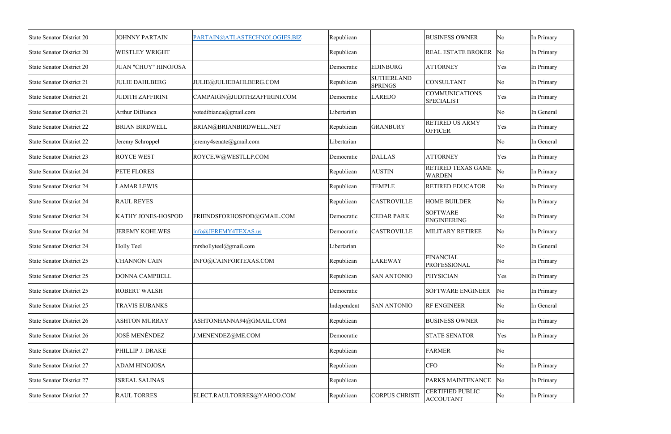| <b>State Senator District 20</b> | <b>JOHNNY PARTAIN</b>       | PARTAIN@ATLASTECHNOLOGIES.BIZ | Republican  |                                     | <b>BUSINESS OWNER</b>                       | No                     | In Primary |
|----------------------------------|-----------------------------|-------------------------------|-------------|-------------------------------------|---------------------------------------------|------------------------|------------|
| <b>State Senator District 20</b> | <b>WESTLEY WRIGHT</b>       |                               | Republican  |                                     | <b>REAL ESTATE BROKER No</b>                |                        | In Primary |
| <b>State Senator District 20</b> | <b>JUAN "CHUY" HINOJOSA</b> |                               | Democratic  | <b>EDINBURG</b>                     | <b>ATTORNEY</b>                             | Yes                    | In Primary |
| <b>State Senator District 21</b> | <b>JULIE DAHLBERG</b>       | JULIE@JULIEDAHLBERG.COM       | Republican  | <b>SUTHERLAND</b><br><b>SPRINGS</b> | <b>CONSULTANT</b>                           | $\overline{\rm No}$    | In Primary |
| <b>State Senator District 21</b> | <b>JUDITH ZAFFIRINI</b>     | CAMPAIGN@JUDITHZAFFIRINI.COM  | Democratic  | <b>LAREDO</b>                       | <b>COMMUNICATIONS</b><br><b>SPECIALIST</b>  | Yes                    | In Primary |
| <b>State Senator District 21</b> | Arthur DiBianca             | votedibianca@gmail.com        | Libertarian |                                     |                                             | $\overline{\rm No}$    | In General |
| <b>State Senator District 22</b> | <b>BRIAN BIRDWELL</b>       | BRIAN@BRIANBIRDWELL.NET       | Republican  | <b>GRANBURY</b>                     | <b>RETIRED US ARMY</b><br><b>OFFICER</b>    | Yes                    | In Primary |
| <b>State Senator District 22</b> | Jeremy Schroppel            | jeremy4senate@gmail.com       | Libertarian |                                     |                                             | $\overline{\rm No}$    | In General |
| <b>State Senator District 23</b> | <b>ROYCE WEST</b>           | ROYCE.W@WESTLLP.COM           | Democratic  | <b>DALLAS</b>                       | <b>ATTORNEY</b>                             | Yes                    | In Primary |
| <b>State Senator District 24</b> | PETE FLORES                 |                               | Republican  | <b>AUSTIN</b>                       | RETIRED TEXAS GAME<br><b>WARDEN</b>         | No                     | In Primary |
| <b>State Senator District 24</b> | <b>LAMAR LEWIS</b>          |                               | Republican  | <b>TEMPLE</b>                       | <b>RETIRED EDUCATOR</b>                     | No                     | In Primary |
| <b>State Senator District 24</b> | <b>RAUL REYES</b>           |                               | Republican  | <b>CASTROVILLE</b>                  | <b>HOME BUILDER</b>                         | $\overline{\rm No}$    | In Primary |
| <b>State Senator District 24</b> | KATHY JONES-HOSPOD          | FRIENDSFORHOSPOD@GMAIL.COM    | Democratic  | <b>CEDAR PARK</b>                   | <b>SOFTWARE</b><br><b>ENGINEERING</b>       | $\overline{\rm No}$    | In Primary |
| <b>State Senator District 24</b> | <b>JEREMY KOHLWES</b>       | info@JEREMY4TEXAS.us          | Democratic  | <b>CASTROVILLE</b>                  | MILITARY RETIREE                            | $\overline{\rm No}$    | In Primary |
| <b>State Senator District 24</b> | <b>Holly Teel</b>           | mrshollyteel@gmail.com        | Libertarian |                                     |                                             | $\overline{\rm No}$    | In General |
| <b>State Senator District 25</b> | <b>CHANNON CAIN</b>         | INFO@CAINFORTEXAS.COM         | Republican  | <b>LAKEWAY</b>                      | FINANCIAL<br><b>PROFESSIONAL</b>            | $\overline{\text{No}}$ | In Primary |
| <b>State Senator District 25</b> | DONNA CAMPBELL              |                               | Republican  | <b>SAN ANTONIO</b>                  | <b>PHYSICIAN</b>                            | Yes                    | In Primary |
| <b>State Senator District 25</b> | <b>ROBERT WALSH</b>         |                               | Democratic  |                                     | <b>SOFTWARE ENGINEER</b>                    | $\overline{\text{No}}$ | In Primary |
| <b>State Senator District 25</b> | <b>TRAVIS EUBANKS</b>       |                               | Independent | <b>SAN ANTONIO</b>                  | <b>RF ENGINEER</b>                          | $\overline{\rm No}$    | In General |
| <b>State Senator District 26</b> | <b>ASHTON MURRAY</b>        | ASHTONHANNA94@GMAIL.COM       | Republican  |                                     | <b>BUSINESS OWNER</b>                       | $\overline{\rm No}$    | In Primary |
| <b>State Senator District 26</b> | <b>JOSÉ MENÉNDEZ</b>        | J.MENENDEZ@ME.COM             | Democratic  |                                     | <b>STATE SENATOR</b>                        | Yes                    | In Primary |
| <b>State Senator District 27</b> | PHILLIP J. DRAKE            |                               | Republican  |                                     | <b>FARMER</b>                               | $\overline{\text{No}}$ |            |
| <b>State Senator District 27</b> | <b>ADAM HINOJOSA</b>        |                               | Republican  |                                     | <b>CFO</b>                                  | $\overline{\rm No}$    | In Primary |
| <b>State Senator District 27</b> | <b>ISREAL SALINAS</b>       |                               | Republican  |                                     | PARKS MAINTENANCE                           | $\overline{\text{No}}$ | In Primary |
| <b>State Senator District 27</b> | <b>RAUL TORRES</b>          | ELECT.RAULTORRES@YAHOO.COM    | Republican  | <b>CORPUS CHRISTI</b>               | <b>CERTIFIED PUBLIC</b><br><b>ACCOUTANT</b> | $\overline{\rm No}$    | In Primary |